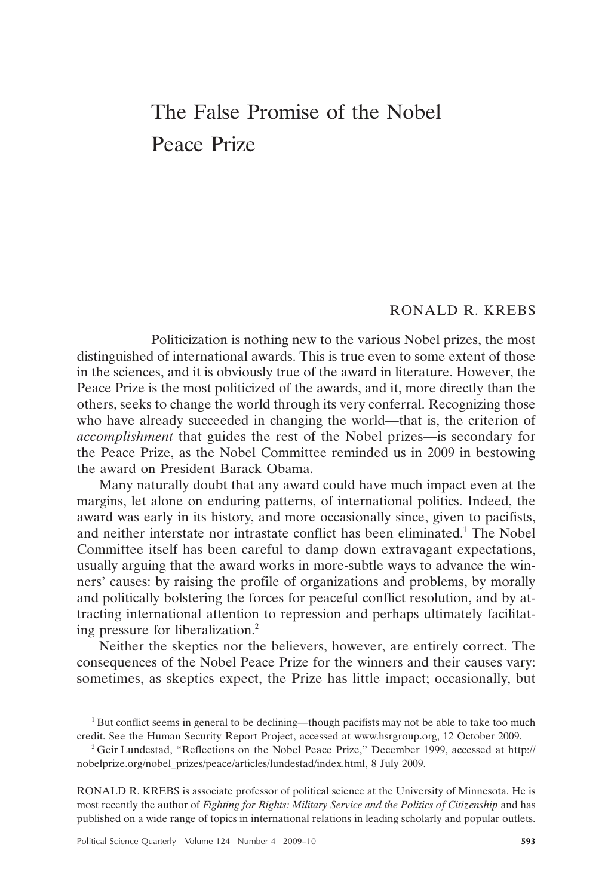# The False Promise of the Nobel Peace Prize

## RONALD R. KREBS

Politicization is nothing new to the various Nobel prizes, the most distinguished of international awards. This is true even to some extent of those in the sciences, and it is obviously true of the award in literature. However, the Peace Prize is the most politicized of the awards, and it, more directly than the others, seeks to change the world through its very conferral. Recognizing those who have already succeeded in changing the world—that is, the criterion of accomplishment that guides the rest of the Nobel prizes—is secondary for the Peace Prize, as the Nobel Committee reminded us in 2009 in bestowing the award on President Barack Obama.

Many naturally doubt that any award could have much impact even at the margins, let alone on enduring patterns, of international politics. Indeed, the award was early in its history, and more occasionally since, given to pacifists, and neither interstate nor intrastate conflict has been eliminated.<sup>1</sup> The Nobel Committee itself has been careful to damp down extravagant expectations, usually arguing that the award works in more-subtle ways to advance the winners' causes: by raising the profile of organizations and problems, by morally and politically bolstering the forces for peaceful conflict resolution, and by attracting international attention to repression and perhaps ultimately facilitating pressure for liberalization.2

Neither the skeptics nor the believers, however, are entirely correct. The consequences of the Nobel Peace Prize for the winners and their causes vary: sometimes, as skeptics expect, the Prize has little impact; occasionally, but

<sup>1</sup> But conflict seems in general to be declining—though pacifists may not be able to take too much credit. See the Human Security Report Project, accessed at www.hsrgroup.org, 12 October 2009.

<sup>2</sup> Geir Lundestad, "Reflections on the Nobel Peace Prize," December 1999, accessed at http:// nobelprize.org/nobel\_prizes/peace/articles/lundestad/index.html, 8 July 2009.

RONALD R. KREBS is associate professor of political science at the University of Minnesota. He is most recently the author of Fighting for Rights: Military Service and the Politics of Citizenship and has published on a wide range of topics in international relations in leading scholarly and popular outlets.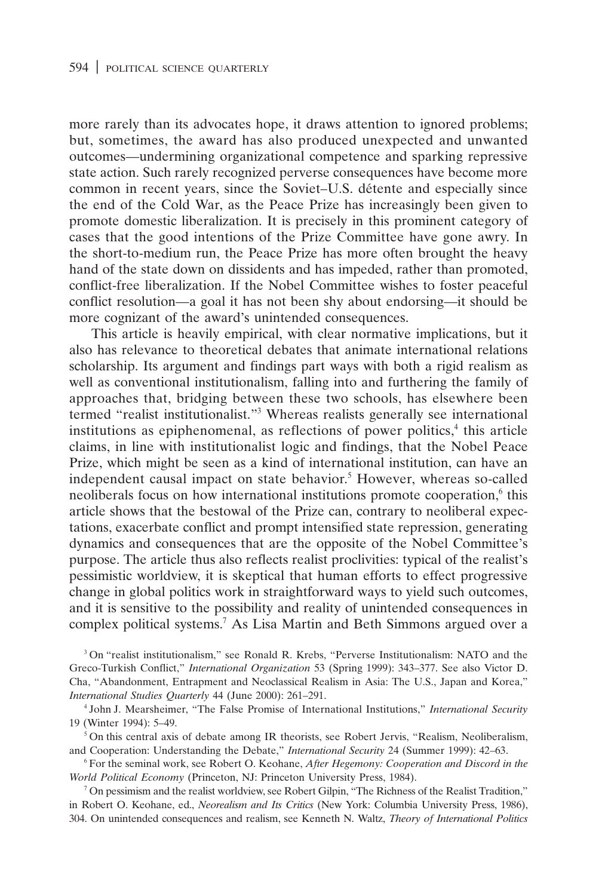more rarely than its advocates hope, it draws attention to ignored problems; but, sometimes, the award has also produced unexpected and unwanted outcomes—undermining organizational competence and sparking repressive state action. Such rarely recognized perverse consequences have become more common in recent years, since the Soviet–U.S. détente and especially since the end of the Cold War, as the Peace Prize has increasingly been given to promote domestic liberalization. It is precisely in this prominent category of cases that the good intentions of the Prize Committee have gone awry. In the short-to-medium run, the Peace Prize has more often brought the heavy hand of the state down on dissidents and has impeded, rather than promoted, conflict-free liberalization. If the Nobel Committee wishes to foster peaceful conflict resolution—a goal it has not been shy about endorsing—it should be more cognizant of the award's unintended consequences.

This article is heavily empirical, with clear normative implications, but it also has relevance to theoretical debates that animate international relations scholarship. Its argument and findings part ways with both a rigid realism as well as conventional institutionalism, falling into and furthering the family of approaches that, bridging between these two schools, has elsewhere been termed "realist institutionalist."<sup>3</sup> Whereas realists generally see international institutions as epiphenomenal, as reflections of power politics, $4$  this article claims, in line with institutionalist logic and findings, that the Nobel Peace Prize, which might be seen as a kind of international institution, can have an independent causal impact on state behavior.<sup>5</sup> However, whereas so-called neoliberals focus on how international institutions promote cooperation,<sup>6</sup> this article shows that the bestowal of the Prize can, contrary to neoliberal expectations, exacerbate conflict and prompt intensified state repression, generating dynamics and consequences that are the opposite of the Nobel Committee's purpose. The article thus also reflects realist proclivities: typical of the realist's pessimistic worldview, it is skeptical that human efforts to effect progressive change in global politics work in straightforward ways to yield such outcomes, and it is sensitive to the possibility and reality of unintended consequences in complex political systems.7 As Lisa Martin and Beth Simmons argued over a

<sup>3</sup> On "realist institutionalism," see Ronald R. Krebs, "Perverse Institutionalism: NATO and the Greco-Turkish Conflict," International Organization 53 (Spring 1999): 343–377. See also Victor D. Cha, "Abandonment, Entrapment and Neoclassical Realism in Asia: The U.S., Japan and Korea," International Studies Quarterly 44 (June 2000): 261–291.

<sup>4</sup> John J. Mearsheimer, "The False Promise of International Institutions," *International Security* 19 (Winter 1994): 5–49.

 $5$  On this central axis of debate among IR theorists, see Robert Jervis, "Realism, Neoliberalism, and Cooperation: Understanding the Debate," International Security 24 (Summer 1999): 42–63.

<sup>6</sup> For the seminal work, see Robert O. Keohane, *After Hegemony: Cooperation and Discord in the* World Political Economy (Princeton, NJ: Princeton University Press, 1984).

 $7$  On pessimism and the realist worldview, see Robert Gilpin, "The Richness of the Realist Tradition," in Robert O. Keohane, ed., Neorealism and Its Critics (New York: Columbia University Press, 1986), 304. On unintended consequences and realism, see Kenneth N. Waltz, Theory of International Politics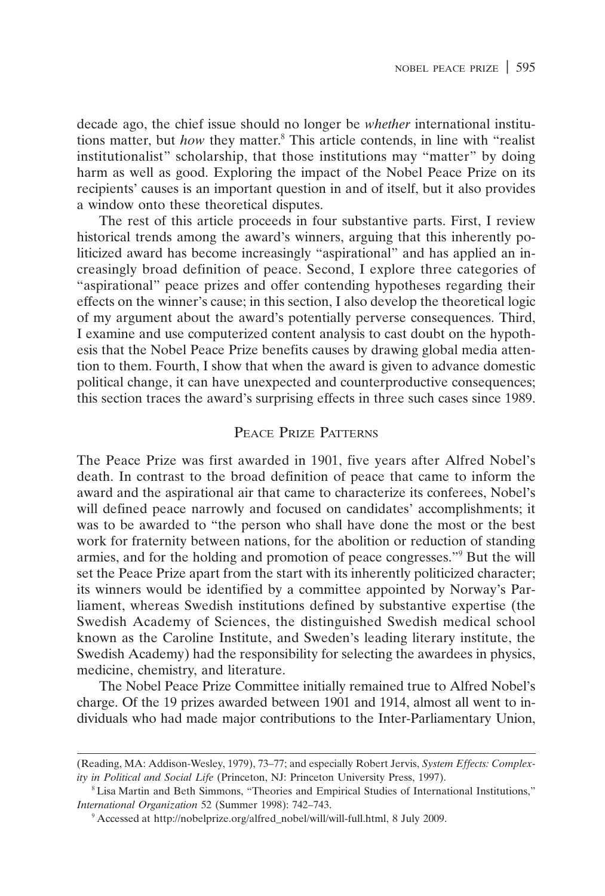decade ago, the chief issue should no longer be whether international institutions matter, but *how* they matter.<sup>8</sup> This article contends, in line with "realist" institutionalist" scholarship, that those institutions may "matter" by doing harm as well as good. Exploring the impact of the Nobel Peace Prize on its recipients' causes is an important question in and of itself, but it also provides a window onto these theoretical disputes.

The rest of this article proceeds in four substantive parts. First, I review historical trends among the award's winners, arguing that this inherently politicized award has become increasingly "aspirational" and has applied an increasingly broad definition of peace. Second, I explore three categories of "aspirational" peace prizes and offer contending hypotheses regarding their effects on the winner's cause; in this section, I also develop the theoretical logic of my argument about the award's potentially perverse consequences. Third, I examine and use computerized content analysis to cast doubt on the hypothesis that the Nobel Peace Prize benefits causes by drawing global media attention to them. Fourth, I show that when the award is given to advance domestic political change, it can have unexpected and counterproductive consequences; this section traces the award's surprising effects in three such cases since 1989.

#### PEACE PRIZE PATTERNS

The Peace Prize was first awarded in 1901, five years after Alfred Nobel's death. In contrast to the broad definition of peace that came to inform the award and the aspirational air that came to characterize its conferees, Nobel's will defined peace narrowly and focused on candidates' accomplishments; it was to be awarded to "the person who shall have done the most or the best work for fraternity between nations, for the abolition or reduction of standing armies, and for the holding and promotion of peace congresses."<sup>9</sup> But the will set the Peace Prize apart from the start with its inherently politicized character; its winners would be identified by a committee appointed by Norway's Parliament, whereas Swedish institutions defined by substantive expertise (the Swedish Academy of Sciences, the distinguished Swedish medical school known as the Caroline Institute, and Sweden's leading literary institute, the Swedish Academy) had the responsibility for selecting the awardees in physics, medicine, chemistry, and literature.

The Nobel Peace Prize Committee initially remained true to Alfred Nobel's charge. Of the 19 prizes awarded between 1901 and 1914, almost all went to individuals who had made major contributions to the Inter-Parliamentary Union,

<sup>(</sup>Reading, MA: Addison-Wesley, 1979), 73–77; and especially Robert Jervis, System Effects: Complexity in Political and Social Life (Princeton, NJ: Princeton University Press, 1997).

<sup>8</sup> Lisa Martin and Beth Simmons, "Theories and Empirical Studies of International Institutions," International Organization 52 (Summer 1998): 742–743.

<sup>9</sup> Accessed at http://nobelprize.org/alfred\_nobel/will/will-full.html, 8 July 2009.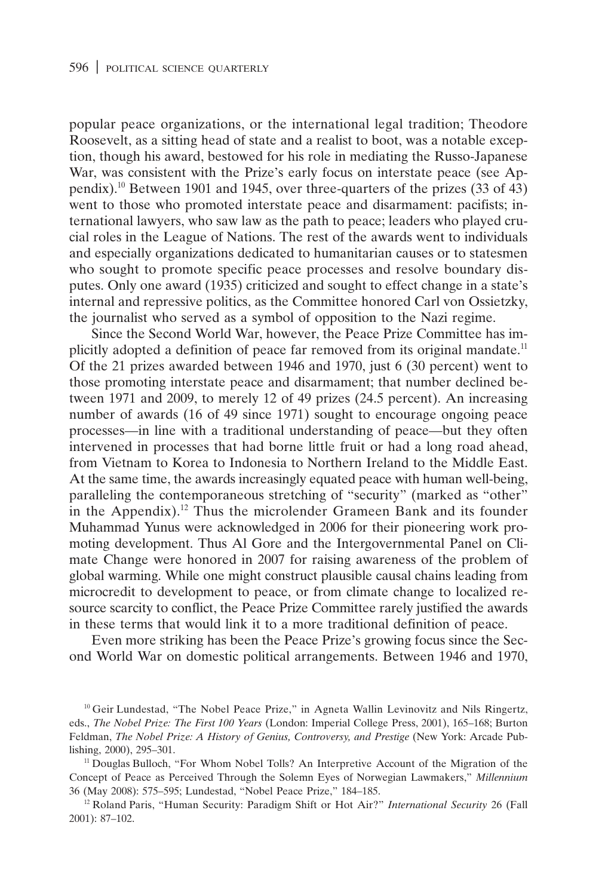popular peace organizations, or the international legal tradition; Theodore Roosevelt, as a sitting head of state and a realist to boot, was a notable exception, though his award, bestowed for his role in mediating the Russo-Japanese War, was consistent with the Prize's early focus on interstate peace (see Appendix).10 Between 1901 and 1945, over three-quarters of the prizes (33 of 43) went to those who promoted interstate peace and disarmament: pacifists; international lawyers, who saw law as the path to peace; leaders who played crucial roles in the League of Nations. The rest of the awards went to individuals and especially organizations dedicated to humanitarian causes or to statesmen who sought to promote specific peace processes and resolve boundary disputes. Only one award (1935) criticized and sought to effect change in a state's internal and repressive politics, as the Committee honored Carl von Ossietzky, the journalist who served as a symbol of opposition to the Nazi regime.

Since the Second World War, however, the Peace Prize Committee has implicitly adopted a definition of peace far removed from its original mandate.<sup>11</sup> Of the 21 prizes awarded between 1946 and 1970, just 6 (30 percent) went to those promoting interstate peace and disarmament; that number declined between 1971 and 2009, to merely 12 of 49 prizes (24.5 percent). An increasing number of awards (16 of 49 since 1971) sought to encourage ongoing peace processes—in line with a traditional understanding of peace—but they often intervened in processes that had borne little fruit or had a long road ahead, from Vietnam to Korea to Indonesia to Northern Ireland to the Middle East. At the same time, the awards increasingly equated peace with human well-being, paralleling the contemporaneous stretching of "security" (marked as "other" in the Appendix).<sup>12</sup> Thus the microlender Grameen Bank and its founder Muhammad Yunus were acknowledged in 2006 for their pioneering work promoting development. Thus Al Gore and the Intergovernmental Panel on Climate Change were honored in 2007 for raising awareness of the problem of global warming. While one might construct plausible causal chains leading from microcredit to development to peace, or from climate change to localized resource scarcity to conflict, the Peace Prize Committee rarely justified the awards in these terms that would link it to a more traditional definition of peace.

Even more striking has been the Peace Prize's growing focus since the Second World War on domestic political arrangements. Between 1946 and 1970,

<sup>10</sup> Geir Lundestad, "The Nobel Peace Prize," in Agneta Wallin Levinovitz and Nils Ringertz, eds., The Nobel Prize: The First 100 Years (London: Imperial College Press, 2001), 165–168; Burton Feldman, The Nobel Prize: A History of Genius, Controversy, and Prestige (New York: Arcade Publishing, 2000), 295–301.

<sup>11</sup> Douglas Bulloch, "For Whom Nobel Tolls? An Interpretive Account of the Migration of the Concept of Peace as Perceived Through the Solemn Eyes of Norwegian Lawmakers," Millennium 36 (May 2008): 575–595; Lundestad, "Nobel Peace Prize," 184–185.

<sup>12</sup> Roland Paris, "Human Security: Paradigm Shift or Hot Air?" International Security 26 (Fall 2001): 87–102.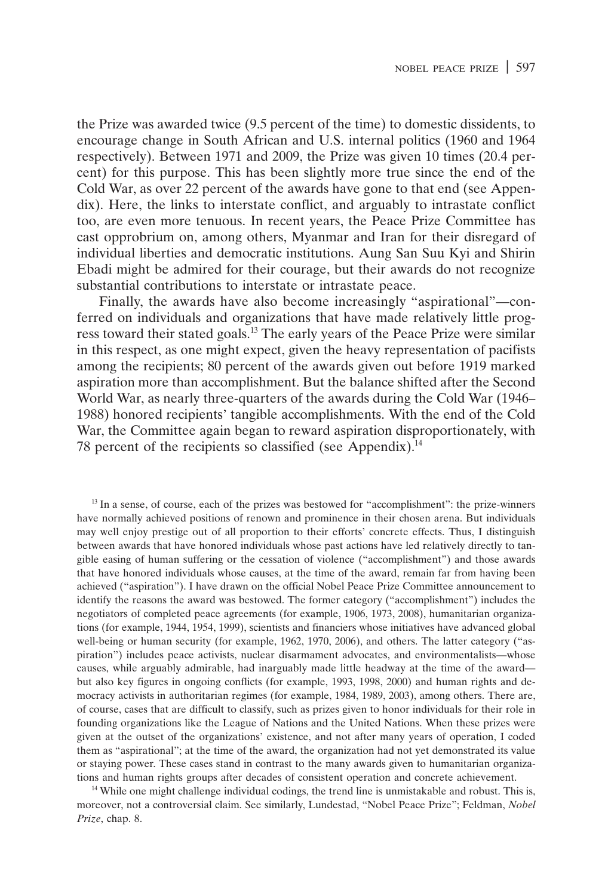the Prize was awarded twice (9.5 percent of the time) to domestic dissidents, to encourage change in South African and U.S. internal politics (1960 and 1964 respectively). Between 1971 and 2009, the Prize was given 10 times (20.4 percent) for this purpose. This has been slightly more true since the end of the Cold War, as over 22 percent of the awards have gone to that end (see Appendix). Here, the links to interstate conflict, and arguably to intrastate conflict too, are even more tenuous. In recent years, the Peace Prize Committee has cast opprobrium on, among others, Myanmar and Iran for their disregard of individual liberties and democratic institutions. Aung San Suu Kyi and Shirin Ebadi might be admired for their courage, but their awards do not recognize substantial contributions to interstate or intrastate peace.

Finally, the awards have also become increasingly "aspirational"—conferred on individuals and organizations that have made relatively little progress toward their stated goals.13 The early years of the Peace Prize were similar in this respect, as one might expect, given the heavy representation of pacifists among the recipients; 80 percent of the awards given out before 1919 marked aspiration more than accomplishment. But the balance shifted after the Second World War, as nearly three-quarters of the awards during the Cold War (1946– 1988) honored recipients' tangible accomplishments. With the end of the Cold War, the Committee again began to reward aspiration disproportionately, with 78 percent of the recipients so classified (see Appendix).<sup>14</sup>

<sup>13</sup> In a sense, of course, each of the prizes was bestowed for "accomplishment": the prize-winners have normally achieved positions of renown and prominence in their chosen arena. But individuals may well enjoy prestige out of all proportion to their efforts' concrete effects. Thus, I distinguish between awards that have honored individuals whose past actions have led relatively directly to tangible easing of human suffering or the cessation of violence ("accomplishment") and those awards that have honored individuals whose causes, at the time of the award, remain far from having been achieved ("aspiration"). I have drawn on the official Nobel Peace Prize Committee announcement to identify the reasons the award was bestowed. The former category ("accomplishment") includes the negotiators of completed peace agreements (for example, 1906, 1973, 2008), humanitarian organizations (for example, 1944, 1954, 1999), scientists and financiers whose initiatives have advanced global well-being or human security (for example, 1962, 1970, 2006), and others. The latter category ("aspiration") includes peace activists, nuclear disarmament advocates, and environmentalists—whose causes, while arguably admirable, had inarguably made little headway at the time of the award but also key figures in ongoing conflicts (for example, 1993, 1998, 2000) and human rights and democracy activists in authoritarian regimes (for example, 1984, 1989, 2003), among others. There are, of course, cases that are difficult to classify, such as prizes given to honor individuals for their role in founding organizations like the League of Nations and the United Nations. When these prizes were given at the outset of the organizations' existence, and not after many years of operation, I coded them as "aspirational"; at the time of the award, the organization had not yet demonstrated its value or staying power. These cases stand in contrast to the many awards given to humanitarian organizations and human rights groups after decades of consistent operation and concrete achievement.

<sup>14</sup> While one might challenge individual codings, the trend line is unmistakable and robust. This is, moreover, not a controversial claim. See similarly, Lundestad, "Nobel Peace Prize"; Feldman, Nobel Prize, chap. 8.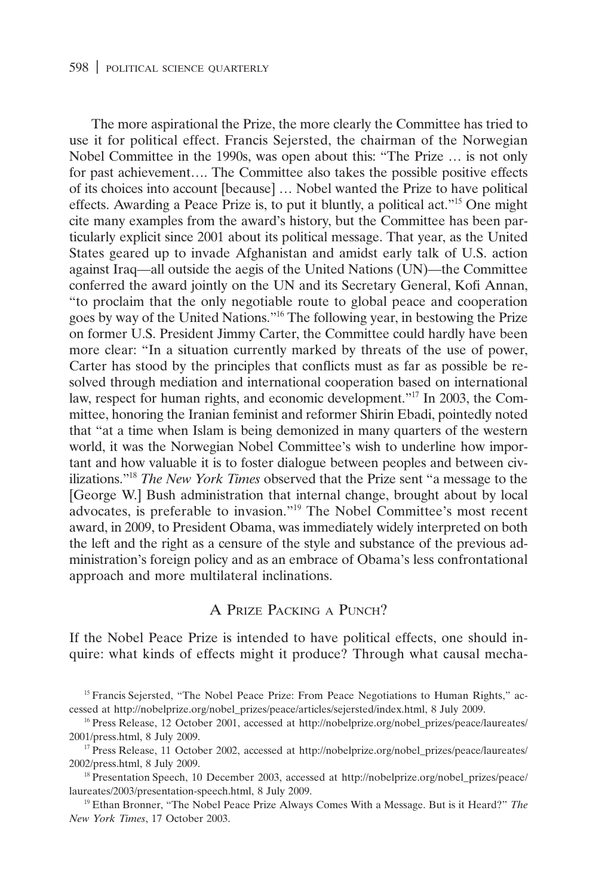The more aspirational the Prize, the more clearly the Committee has tried to use it for political effect. Francis Sejersted, the chairman of the Norwegian Nobel Committee in the 1990s, was open about this: "The Prize … is not only for past achievement…. The Committee also takes the possible positive effects of its choices into account [because] … Nobel wanted the Prize to have political effects. Awarding a Peace Prize is, to put it bluntly, a political act."<sup>15</sup> One might cite many examples from the award's history, but the Committee has been particularly explicit since 2001 about its political message. That year, as the United States geared up to invade Afghanistan and amidst early talk of U.S. action against Iraq—all outside the aegis of the United Nations (UN)—the Committee conferred the award jointly on the UN and its Secretary General, Kofi Annan, "to proclaim that the only negotiable route to global peace and cooperation goes by way of the United Nations."<sup>16</sup> The following year, in bestowing the Prize on former U.S. President Jimmy Carter, the Committee could hardly have been more clear: "In a situation currently marked by threats of the use of power, Carter has stood by the principles that conflicts must as far as possible be resolved through mediation and international cooperation based on international law, respect for human rights, and economic development."<sup>17</sup> In 2003, the Committee, honoring the Iranian feminist and reformer Shirin Ebadi, pointedly noted that "at a time when Islam is being demonized in many quarters of the western world, it was the Norwegian Nobel Committee's wish to underline how important and how valuable it is to foster dialogue between peoples and between civilizations."<sup>18</sup> The New York Times observed that the Prize sent "a message to the [George W.] Bush administration that internal change, brought about by local advocates, is preferable to invasion."<sup>19</sup> The Nobel Committee's most recent award, in 2009, to President Obama, was immediately widely interpreted on both the left and the right as a censure of the style and substance of the previous administration's foreign policy and as an embrace of Obama's less confrontational approach and more multilateral inclinations.

#### A PRIZE PACKING A PUNCH?

If the Nobel Peace Prize is intended to have political effects, one should inquire: what kinds of effects might it produce? Through what causal mecha-

<sup>15</sup> Francis Sejersted, "The Nobel Peace Prize: From Peace Negotiations to Human Rights," accessed at http://nobelprize.org/nobel\_prizes/peace/articles/sejersted/index.html, 8 July 2009.

<sup>18</sup> Presentation Speech, 10 December 2003, accessed at http://nobelprize.org/nobel\_prizes/peace/ laureates/2003/presentation-speech.html, 8 July 2009.

<sup>19</sup> Ethan Bronner, "The Nobel Peace Prize Always Comes With a Message. But is it Heard?" The New York Times, 17 October 2003.

<sup>16</sup> Press Release, 12 October 2001, accessed at http://nobelprize.org/nobel\_prizes/peace/laureates/ 2001/press.html, 8 July 2009.

<sup>&</sup>lt;sup>17</sup> Press Release, 11 October 2002, accessed at http://nobelprize.org/nobel\_prizes/peace/laureates/ 2002/press.html, 8 July 2009.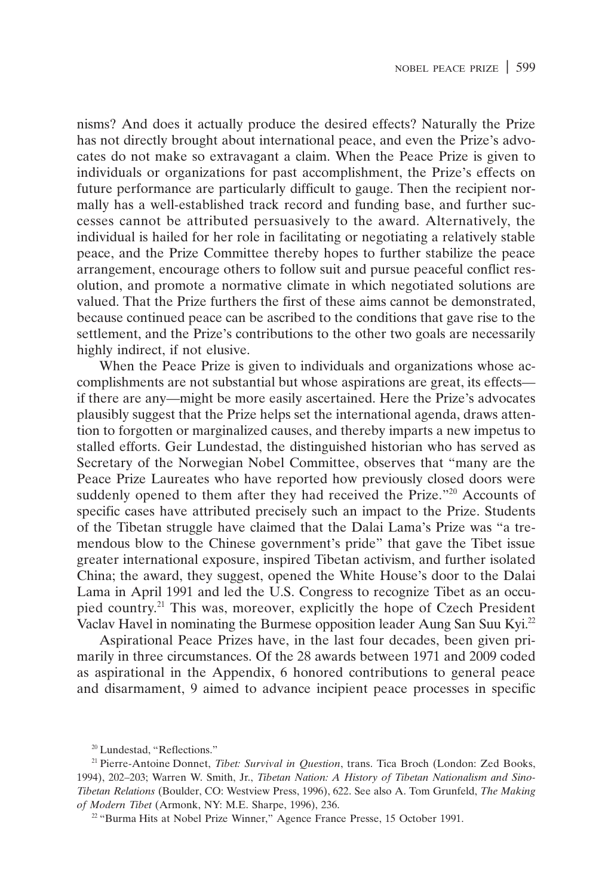nisms? And does it actually produce the desired effects? Naturally the Prize has not directly brought about international peace, and even the Prize's advocates do not make so extravagant a claim. When the Peace Prize is given to individuals or organizations for past accomplishment, the Prize's effects on future performance are particularly difficult to gauge. Then the recipient normally has a well-established track record and funding base, and further successes cannot be attributed persuasively to the award. Alternatively, the individual is hailed for her role in facilitating or negotiating a relatively stable peace, and the Prize Committee thereby hopes to further stabilize the peace arrangement, encourage others to follow suit and pursue peaceful conflict resolution, and promote a normative climate in which negotiated solutions are valued. That the Prize furthers the first of these aims cannot be demonstrated, because continued peace can be ascribed to the conditions that gave rise to the settlement, and the Prize's contributions to the other two goals are necessarily highly indirect, if not elusive.

When the Peace Prize is given to individuals and organizations whose accomplishments are not substantial but whose aspirations are great, its effects if there are any—might be more easily ascertained. Here the Prize's advocates plausibly suggest that the Prize helps set the international agenda, draws attention to forgotten or marginalized causes, and thereby imparts a new impetus to stalled efforts. Geir Lundestad, the distinguished historian who has served as Secretary of the Norwegian Nobel Committee, observes that "many are the Peace Prize Laureates who have reported how previously closed doors were suddenly opened to them after they had received the Prize."<sup>20</sup> Accounts of specific cases have attributed precisely such an impact to the Prize. Students of the Tibetan struggle have claimed that the Dalai Lama's Prize was "a tremendous blow to the Chinese government's pride" that gave the Tibet issue greater international exposure, inspired Tibetan activism, and further isolated China; the award, they suggest, opened the White House's door to the Dalai Lama in April 1991 and led the U.S. Congress to recognize Tibet as an occupied country.21 This was, moreover, explicitly the hope of Czech President Vaclav Havel in nominating the Burmese opposition leader Aung San Suu Kyi.<sup>22</sup>

Aspirational Peace Prizes have, in the last four decades, been given primarily in three circumstances. Of the 28 awards between 1971 and 2009 coded as aspirational in the Appendix, 6 honored contributions to general peace and disarmament, 9 aimed to advance incipient peace processes in specific

<sup>&</sup>lt;sup>20</sup> Lundestad, "Reflections."

<sup>&</sup>lt;sup>21</sup> Pierre-Antoine Donnet, *Tibet: Survival in Question*, trans. Tica Broch (London: Zed Books, 1994), 202–203; Warren W. Smith, Jr., Tibetan Nation: A History of Tibetan Nationalism and Sino-Tibetan Relations (Boulder, CO: Westview Press, 1996), 622. See also A. Tom Grunfeld, The Making of Modern Tibet (Armonk, NY: M.E. Sharpe, 1996), 236.

<sup>&</sup>lt;sup>22</sup> "Burma Hits at Nobel Prize Winner," Agence France Presse, 15 October 1991.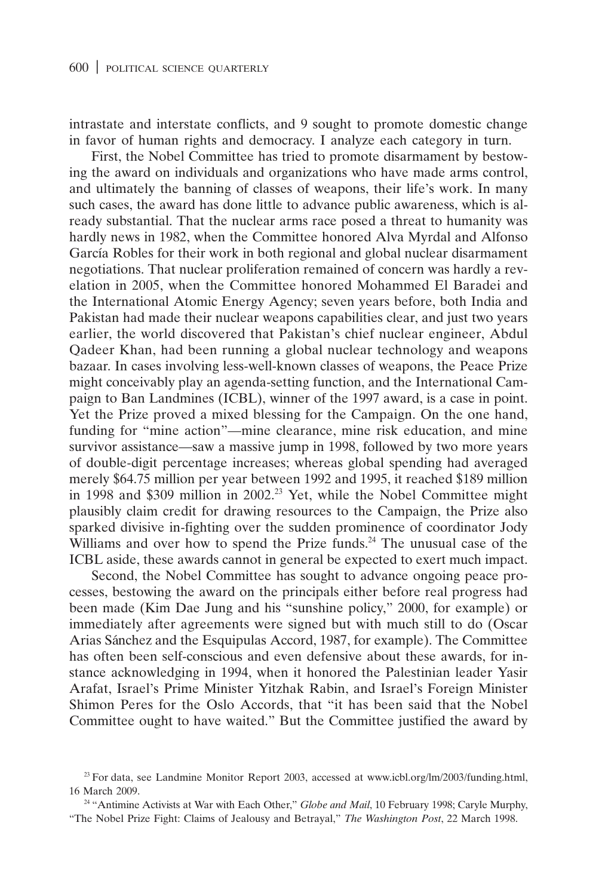intrastate and interstate conflicts, and 9 sought to promote domestic change in favor of human rights and democracy. I analyze each category in turn.

First, the Nobel Committee has tried to promote disarmament by bestowing the award on individuals and organizations who have made arms control, and ultimately the banning of classes of weapons, their life's work. In many such cases, the award has done little to advance public awareness, which is already substantial. That the nuclear arms race posed a threat to humanity was hardly news in 1982, when the Committee honored Alva Myrdal and Alfonso García Robles for their work in both regional and global nuclear disarmament negotiations. That nuclear proliferation remained of concern was hardly a revelation in 2005, when the Committee honored Mohammed El Baradei and the International Atomic Energy Agency; seven years before, both India and Pakistan had made their nuclear weapons capabilities clear, and just two years earlier, the world discovered that Pakistan's chief nuclear engineer, Abdul Qadeer Khan, had been running a global nuclear technology and weapons bazaar. In cases involving less-well-known classes of weapons, the Peace Prize might conceivably play an agenda-setting function, and the International Campaign to Ban Landmines (ICBL), winner of the 1997 award, is a case in point. Yet the Prize proved a mixed blessing for the Campaign. On the one hand, funding for "mine action"—mine clearance, mine risk education, and mine survivor assistance—saw a massive jump in 1998, followed by two more years of double-digit percentage increases; whereas global spending had averaged merely \$64.75 million per year between 1992 and 1995, it reached \$189 million in 1998 and \$309 million in 2002.<sup>23</sup> Yet, while the Nobel Committee might plausibly claim credit for drawing resources to the Campaign, the Prize also sparked divisive in-fighting over the sudden prominence of coordinator Jody Williams and over how to spend the Prize funds.<sup>24</sup> The unusual case of the ICBL aside, these awards cannot in general be expected to exert much impact.

Second, the Nobel Committee has sought to advance ongoing peace processes, bestowing the award on the principals either before real progress had been made (Kim Dae Jung and his "sunshine policy," 2000, for example) or immediately after agreements were signed but with much still to do (Oscar Arias Sánchez and the Esquipulas Accord, 1987, for example). The Committee has often been self-conscious and even defensive about these awards, for instance acknowledging in 1994, when it honored the Palestinian leader Yasir Arafat, Israel's Prime Minister Yitzhak Rabin, and Israel's Foreign Minister Shimon Peres for the Oslo Accords, that "it has been said that the Nobel Committee ought to have waited." But the Committee justified the award by

 $23$  For data, see Landmine Monitor Report 2003, accessed at www.icbl.org/lm/2003/funding.html, 16 March 2009.

<sup>&</sup>lt;sup>24</sup> "Antimine Activists at War with Each Other," Globe and Mail, 10 February 1998; Caryle Murphy, "The Nobel Prize Fight: Claims of Jealousy and Betrayal," The Washington Post, 22 March 1998.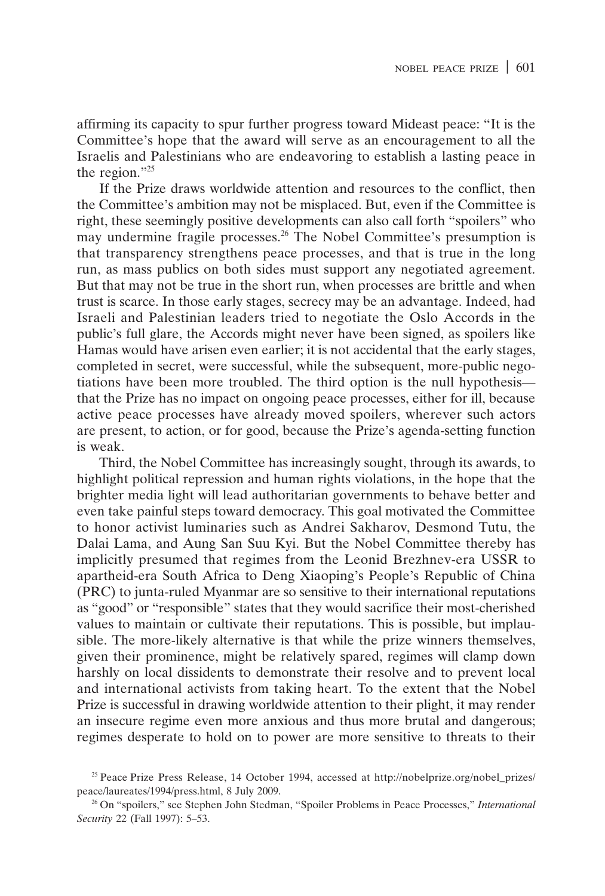affirming its capacity to spur further progress toward Mideast peace: "It is the Committee's hope that the award will serve as an encouragement to all the Israelis and Palestinians who are endeavoring to establish a lasting peace in the region."<sup>25</sup>

If the Prize draws worldwide attention and resources to the conflict, then the Committee's ambition may not be misplaced. But, even if the Committee is right, these seemingly positive developments can also call forth "spoilers" who may undermine fragile processes.<sup>26</sup> The Nobel Committee's presumption is that transparency strengthens peace processes, and that is true in the long run, as mass publics on both sides must support any negotiated agreement. But that may not be true in the short run, when processes are brittle and when trust is scarce. In those early stages, secrecy may be an advantage. Indeed, had Israeli and Palestinian leaders tried to negotiate the Oslo Accords in the public's full glare, the Accords might never have been signed, as spoilers like Hamas would have arisen even earlier; it is not accidental that the early stages, completed in secret, were successful, while the subsequent, more-public negotiations have been more troubled. The third option is the null hypothesis that the Prize has no impact on ongoing peace processes, either for ill, because active peace processes have already moved spoilers, wherever such actors are present, to action, or for good, because the Prize's agenda-setting function is weak.

Third, the Nobel Committee has increasingly sought, through its awards, to highlight political repression and human rights violations, in the hope that the brighter media light will lead authoritarian governments to behave better and even take painful steps toward democracy. This goal motivated the Committee to honor activist luminaries such as Andrei Sakharov, Desmond Tutu, the Dalai Lama, and Aung San Suu Kyi. But the Nobel Committee thereby has implicitly presumed that regimes from the Leonid Brezhnev-era USSR to apartheid-era South Africa to Deng Xiaoping's People's Republic of China (PRC) to junta-ruled Myanmar are so sensitive to their international reputations as "good" or "responsible" states that they would sacrifice their most-cherished values to maintain or cultivate their reputations. This is possible, but implausible. The more-likely alternative is that while the prize winners themselves, given their prominence, might be relatively spared, regimes will clamp down harshly on local dissidents to demonstrate their resolve and to prevent local and international activists from taking heart. To the extent that the Nobel Prize is successful in drawing worldwide attention to their plight, it may render an insecure regime even more anxious and thus more brutal and dangerous; regimes desperate to hold on to power are more sensitive to threats to their

<sup>&</sup>lt;sup>25</sup> Peace Prize Press Release, 14 October 1994, accessed at http://nobelprize.org/nobel\_prizes/ peace/laureates/1994/press.html, 8 July 2009.

<sup>&</sup>lt;sup>26</sup> On "spoilers," see Stephen John Stedman, "Spoiler Problems in Peace Processes," *International* Security 22 (Fall 1997): 5–53.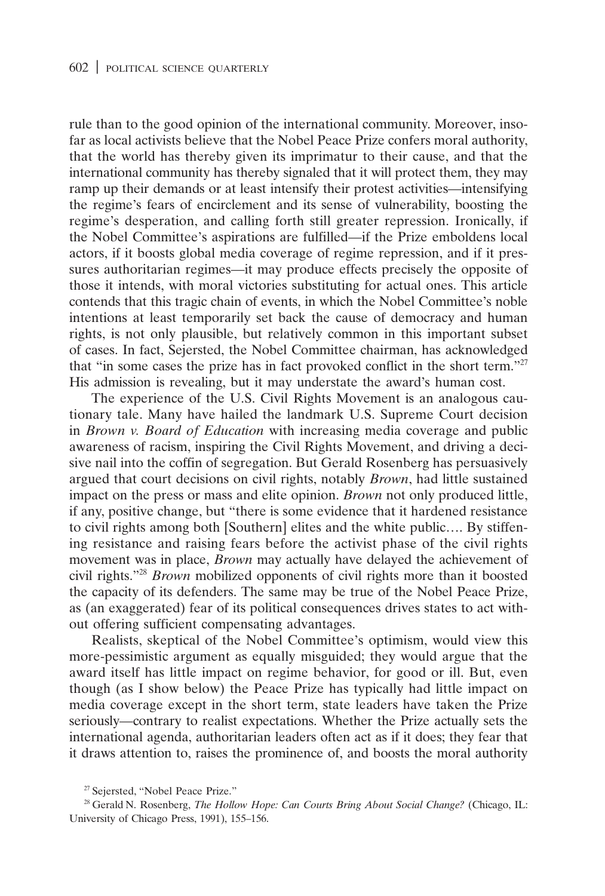rule than to the good opinion of the international community. Moreover, insofar as local activists believe that the Nobel Peace Prize confers moral authority, that the world has thereby given its imprimatur to their cause, and that the international community has thereby signaled that it will protect them, they may ramp up their demands or at least intensify their protest activities—intensifying the regime's fears of encirclement and its sense of vulnerability, boosting the regime's desperation, and calling forth still greater repression. Ironically, if the Nobel Committee's aspirations are fulfilled—if the Prize emboldens local actors, if it boosts global media coverage of regime repression, and if it pressures authoritarian regimes—it may produce effects precisely the opposite of those it intends, with moral victories substituting for actual ones. This article contends that this tragic chain of events, in which the Nobel Committee's noble intentions at least temporarily set back the cause of democracy and human rights, is not only plausible, but relatively common in this important subset of cases. In fact, Sejersted, the Nobel Committee chairman, has acknowledged that "in some cases the prize has in fact provoked conflict in the short term."<sup>27</sup> His admission is revealing, but it may understate the award's human cost.

The experience of the U.S. Civil Rights Movement is an analogous cautionary tale. Many have hailed the landmark U.S. Supreme Court decision in Brown v. Board of Education with increasing media coverage and public awareness of racism, inspiring the Civil Rights Movement, and driving a decisive nail into the coffin of segregation. But Gerald Rosenberg has persuasively argued that court decisions on civil rights, notably Brown, had little sustained impact on the press or mass and elite opinion. Brown not only produced little, if any, positive change, but "there is some evidence that it hardened resistance to civil rights among both [Southern] elites and the white public…. By stiffening resistance and raising fears before the activist phase of the civil rights movement was in place, Brown may actually have delayed the achievement of civil rights."<sup>28</sup> Brown mobilized opponents of civil rights more than it boosted the capacity of its defenders. The same may be true of the Nobel Peace Prize, as (an exaggerated) fear of its political consequences drives states to act without offering sufficient compensating advantages.

Realists, skeptical of the Nobel Committee's optimism, would view this more-pessimistic argument as equally misguided; they would argue that the award itself has little impact on regime behavior, for good or ill. But, even though (as I show below) the Peace Prize has typically had little impact on media coverage except in the short term, state leaders have taken the Prize seriously—contrary to realist expectations. Whether the Prize actually sets the international agenda, authoritarian leaders often act as if it does; they fear that it draws attention to, raises the prominence of, and boosts the moral authority

<sup>&</sup>lt;sup>27</sup> Sejersted, "Nobel Peace Prize."

<sup>&</sup>lt;sup>28</sup> Gerald N. Rosenberg, *The Hollow Hope: Can Courts Bring About Social Change?* (Chicago, IL: University of Chicago Press, 1991), 155–156.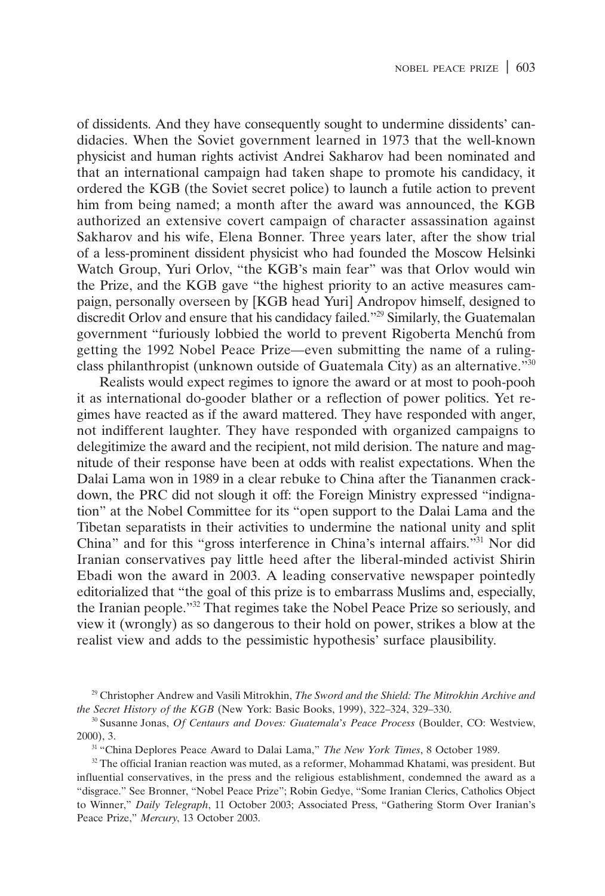of dissidents. And they have consequently sought to undermine dissidents' candidacies. When the Soviet government learned in 1973 that the well-known physicist and human rights activist Andrei Sakharov had been nominated and that an international campaign had taken shape to promote his candidacy, it ordered the KGB (the Soviet secret police) to launch a futile action to prevent him from being named; a month after the award was announced, the KGB authorized an extensive covert campaign of character assassination against Sakharov and his wife, Elena Bonner. Three years later, after the show trial of a less-prominent dissident physicist who had founded the Moscow Helsinki Watch Group, Yuri Orlov, "the KGB's main fear" was that Orlov would win the Prize, and the KGB gave "the highest priority to an active measures campaign, personally overseen by [KGB head Yuri] Andropov himself, designed to discredit Orlov and ensure that his candidacy failed."<sup>29</sup> Similarly, the Guatemalan government "furiously lobbied the world to prevent Rigoberta Menchú from getting the 1992 Nobel Peace Prize—even submitting the name of a rulingclass philanthropist (unknown outside of Guatemala City) as an alternative."<sup>30</sup>

Realists would expect regimes to ignore the award or at most to pooh-pooh it as international do-gooder blather or a reflection of power politics. Yet regimes have reacted as if the award mattered. They have responded with anger, not indifferent laughter. They have responded with organized campaigns to delegitimize the award and the recipient, not mild derision. The nature and magnitude of their response have been at odds with realist expectations. When the Dalai Lama won in 1989 in a clear rebuke to China after the Tiananmen crackdown, the PRC did not slough it off: the Foreign Ministry expressed "indignation" at the Nobel Committee for its "open support to the Dalai Lama and the Tibetan separatists in their activities to undermine the national unity and split China" and for this "gross interference in China's internal affairs."<sup>31</sup> Nor did Iranian conservatives pay little heed after the liberal-minded activist Shirin Ebadi won the award in 2003. A leading conservative newspaper pointedly editorialized that "the goal of this prize is to embarrass Muslims and, especially, the Iranian people."<sup>32</sup> That regimes take the Nobel Peace Prize so seriously, and view it (wrongly) as so dangerous to their hold on power, strikes a blow at the realist view and adds to the pessimistic hypothesis' surface plausibility.

<sup>29</sup> Christopher Andrew and Vasili Mitrokhin, *The Sword and the Shield: The Mitrokhin Archive and* the Secret History of the KGB (New York: Basic Books, 1999), 322–324, 329–330.

<sup>31</sup> "China Deplores Peace Award to Dalai Lama," The New York Times, 8 October 1989.

<sup>32</sup> The official Iranian reaction was muted, as a reformer, Mohammad Khatami, was president. But influential conservatives, in the press and the religious establishment, condemned the award as a "disgrace." See Bronner, "Nobel Peace Prize"; Robin Gedye, "Some Iranian Clerics, Catholics Object to Winner," Daily Telegraph, 11 October 2003; Associated Press, "Gathering Storm Over Iranian's Peace Prize," Mercury, 13 October 2003.

<sup>&</sup>lt;sup>30</sup> Susanne Jonas, Of Centaurs and Doves: Guatemala's Peace Process (Boulder, CO: Westview, 2000), 3.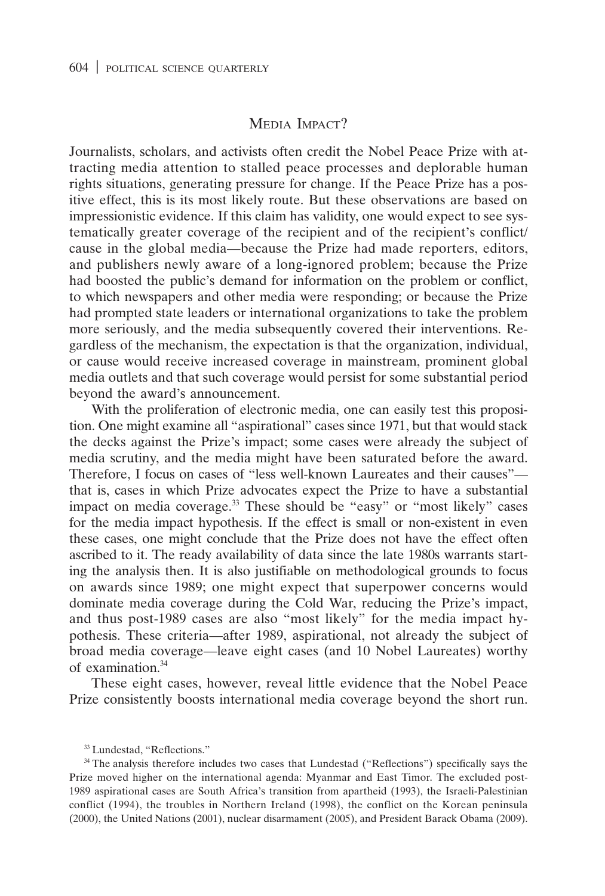### MEDIA IMPACT?

Journalists, scholars, and activists often credit the Nobel Peace Prize with attracting media attention to stalled peace processes and deplorable human rights situations, generating pressure for change. If the Peace Prize has a positive effect, this is its most likely route. But these observations are based on impressionistic evidence. If this claim has validity, one would expect to see systematically greater coverage of the recipient and of the recipient's conflict/ cause in the global media—because the Prize had made reporters, editors, and publishers newly aware of a long-ignored problem; because the Prize had boosted the public's demand for information on the problem or conflict, to which newspapers and other media were responding; or because the Prize had prompted state leaders or international organizations to take the problem more seriously, and the media subsequently covered their interventions. Regardless of the mechanism, the expectation is that the organization, individual, or cause would receive increased coverage in mainstream, prominent global media outlets and that such coverage would persist for some substantial period beyond the award's announcement.

With the proliferation of electronic media, one can easily test this proposition. One might examine all "aspirational" cases since 1971, but that would stack the decks against the Prize's impact; some cases were already the subject of media scrutiny, and the media might have been saturated before the award. Therefore, I focus on cases of "less well-known Laureates and their causes" that is, cases in which Prize advocates expect the Prize to have a substantial impact on media coverage.<sup>33</sup> These should be "easy" or "most likely" cases for the media impact hypothesis. If the effect is small or non-existent in even these cases, one might conclude that the Prize does not have the effect often ascribed to it. The ready availability of data since the late 1980s warrants starting the analysis then. It is also justifiable on methodological grounds to focus on awards since 1989; one might expect that superpower concerns would dominate media coverage during the Cold War, reducing the Prize's impact, and thus post-1989 cases are also "most likely" for the media impact hypothesis. These criteria—after 1989, aspirational, not already the subject of broad media coverage—leave eight cases (and 10 Nobel Laureates) worthy of examination.34

These eight cases, however, reveal little evidence that the Nobel Peace Prize consistently boosts international media coverage beyond the short run.

<sup>&</sup>lt;sup>33</sup> Lundestad, "Reflections."

<sup>&</sup>lt;sup>34</sup> The analysis therefore includes two cases that Lundestad ("Reflections") specifically says the Prize moved higher on the international agenda: Myanmar and East Timor. The excluded post-1989 aspirational cases are South Africa's transition from apartheid (1993), the Israeli-Palestinian conflict (1994), the troubles in Northern Ireland (1998), the conflict on the Korean peninsula (2000), the United Nations (2001), nuclear disarmament (2005), and President Barack Obama (2009).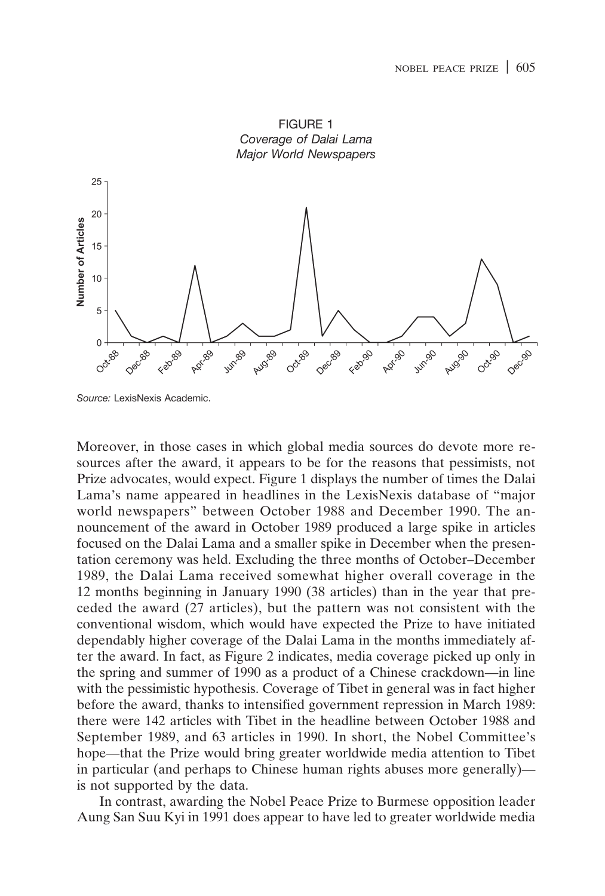

FIGURE 1 Coverage of Dalai Lama

Source: LexisNexis Academic.

Moreover, in those cases in which global media sources do devote more resources after the award, it appears to be for the reasons that pessimists, not Prize advocates, would expect. Figure 1 displays the number of times the Dalai Lama's name appeared in headlines in the LexisNexis database of "major world newspapers" between October 1988 and December 1990. The announcement of the award in October 1989 produced a large spike in articles focused on the Dalai Lama and a smaller spike in December when the presentation ceremony was held. Excluding the three months of October–December 1989, the Dalai Lama received somewhat higher overall coverage in the 12 months beginning in January 1990 (38 articles) than in the year that preceded the award (27 articles), but the pattern was not consistent with the conventional wisdom, which would have expected the Prize to have initiated dependably higher coverage of the Dalai Lama in the months immediately after the award. In fact, as Figure 2 indicates, media coverage picked up only in the spring and summer of 1990 as a product of a Chinese crackdown—in line with the pessimistic hypothesis. Coverage of Tibet in general was in fact higher before the award, thanks to intensified government repression in March 1989: there were 142 articles with Tibet in the headline between October 1988 and September 1989, and 63 articles in 1990. In short, the Nobel Committee's hope—that the Prize would bring greater worldwide media attention to Tibet in particular (and perhaps to Chinese human rights abuses more generally) is not supported by the data.

In contrast, awarding the Nobel Peace Prize to Burmese opposition leader Aung San Suu Kyi in 1991 does appear to have led to greater worldwide media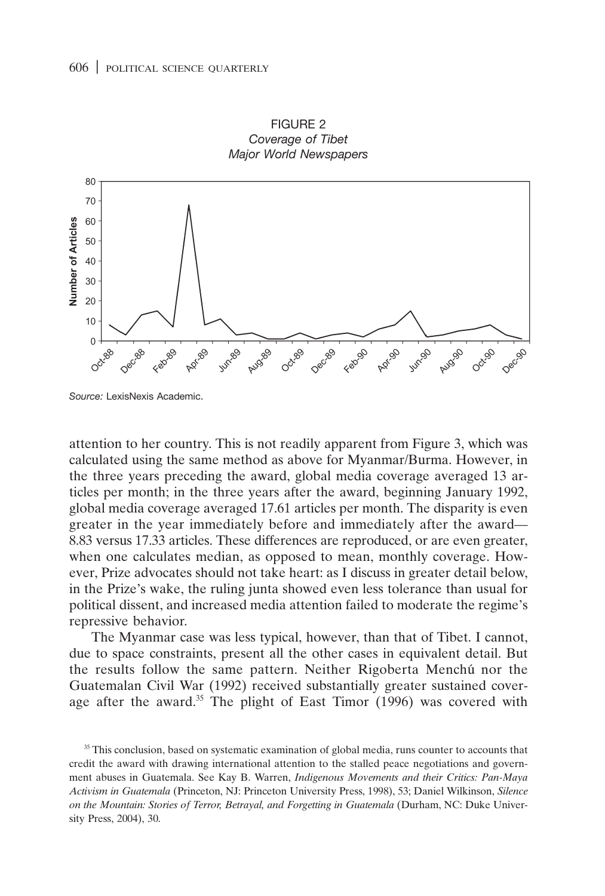



attention to her country. This is not readily apparent from Figure 3, which was calculated using the same method as above for Myanmar/Burma. However, in the three years preceding the award, global media coverage averaged 13 articles per month; in the three years after the award, beginning January 1992, global media coverage averaged 17.61 articles per month. The disparity is even greater in the year immediately before and immediately after the award— 8.83 versus 17.33 articles. These differences are reproduced, or are even greater, when one calculates median, as opposed to mean, monthly coverage. However, Prize advocates should not take heart: as I discuss in greater detail below, in the Prize's wake, the ruling junta showed even less tolerance than usual for political dissent, and increased media attention failed to moderate the regime's repressive behavior.

The Myanmar case was less typical, however, than that of Tibet. I cannot, due to space constraints, present all the other cases in equivalent detail. But the results follow the same pattern. Neither Rigoberta Menchú nor the Guatemalan Civil War (1992) received substantially greater sustained coverage after the award. $35$  The plight of East Timor (1996) was covered with

<sup>35</sup> This conclusion, based on systematic examination of global media, runs counter to accounts that credit the award with drawing international attention to the stalled peace negotiations and government abuses in Guatemala. See Kay B. Warren, Indigenous Movements and their Critics: Pan-Maya Activism in Guatemala (Princeton, NJ: Princeton University Press, 1998), 53; Daniel Wilkinson, Silence on the Mountain: Stories of Terror, Betrayal, and Forgetting in Guatemala (Durham, NC: Duke University Press, 2004), 30.

Source: LexisNexis Academic.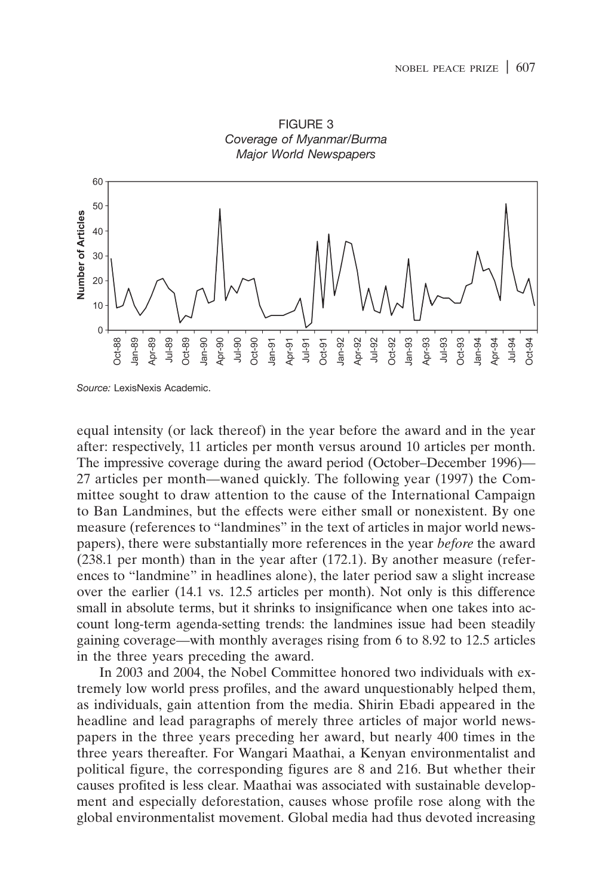

FIGURE 3 Coverage of Myanmar/Burma Major World Newspapers

Source: LexisNexis Academic.

equal intensity (or lack thereof) in the year before the award and in the year after: respectively, 11 articles per month versus around 10 articles per month. The impressive coverage during the award period (October–December 1996)— 27 articles per month—waned quickly. The following year (1997) the Committee sought to draw attention to the cause of the International Campaign to Ban Landmines, but the effects were either small or nonexistent. By one measure (references to "landmines" in the text of articles in major world newspapers), there were substantially more references in the year before the award (238.1 per month) than in the year after (172.1). By another measure (references to "landmine" in headlines alone), the later period saw a slight increase over the earlier (14.1 vs. 12.5 articles per month). Not only is this difference small in absolute terms, but it shrinks to insignificance when one takes into account long-term agenda-setting trends: the landmines issue had been steadily gaining coverage—with monthly averages rising from 6 to 8.92 to 12.5 articles in the three years preceding the award.

In 2003 and 2004, the Nobel Committee honored two individuals with extremely low world press profiles, and the award unquestionably helped them, as individuals, gain attention from the media. Shirin Ebadi appeared in the headline and lead paragraphs of merely three articles of major world newspapers in the three years preceding her award, but nearly 400 times in the three years thereafter. For Wangari Maathai, a Kenyan environmentalist and political figure, the corresponding figures are 8 and 216. But whether their causes profited is less clear. Maathai was associated with sustainable development and especially deforestation, causes whose profile rose along with the global environmentalist movement. Global media had thus devoted increasing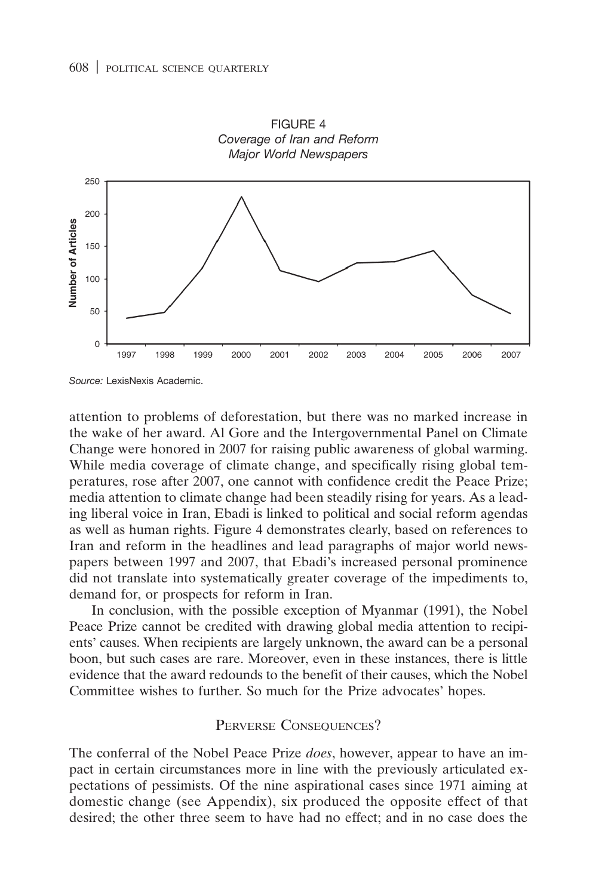

FIGURE 4 Coverage of Iran and Reform

Source: LexisNexis Academic.

attention to problems of deforestation, but there was no marked increase in the wake of her award. Al Gore and the Intergovernmental Panel on Climate Change were honored in 2007 for raising public awareness of global warming. While media coverage of climate change, and specifically rising global temperatures, rose after 2007, one cannot with confidence credit the Peace Prize; media attention to climate change had been steadily rising for years. As a leading liberal voice in Iran, Ebadi is linked to political and social reform agendas as well as human rights. Figure 4 demonstrates clearly, based on references to Iran and reform in the headlines and lead paragraphs of major world newspapers between 1997 and 2007, that Ebadi's increased personal prominence did not translate into systematically greater coverage of the impediments to, demand for, or prospects for reform in Iran.

In conclusion, with the possible exception of Myanmar (1991), the Nobel Peace Prize cannot be credited with drawing global media attention to recipients' causes. When recipients are largely unknown, the award can be a personal boon, but such cases are rare. Moreover, even in these instances, there is little evidence that the award redounds to the benefit of their causes, which the Nobel Committee wishes to further. So much for the Prize advocates' hopes.

## PERVERSE CONSEQUENCES?

The conferral of the Nobel Peace Prize *does*, however, appear to have an impact in certain circumstances more in line with the previously articulated expectations of pessimists. Of the nine aspirational cases since 1971 aiming at domestic change (see Appendix), six produced the opposite effect of that desired; the other three seem to have had no effect; and in no case does the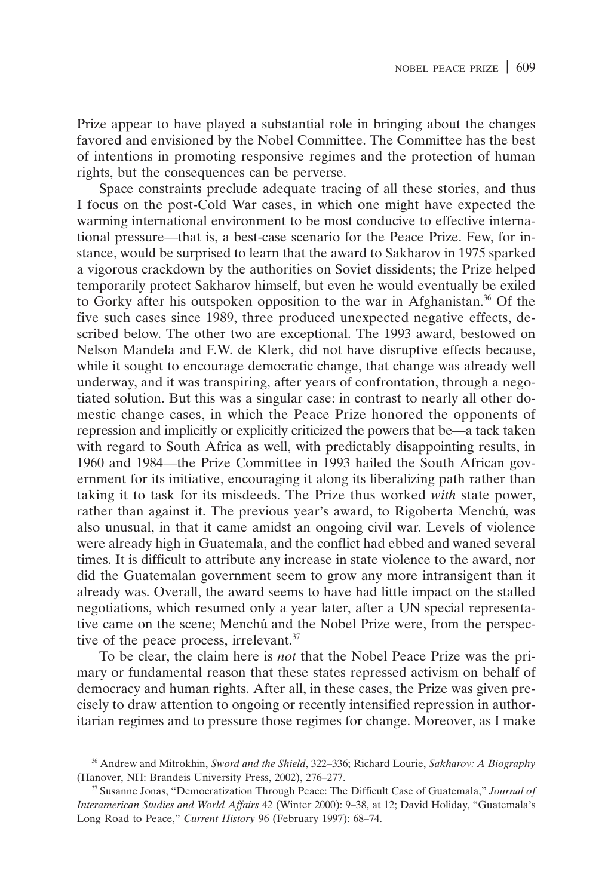Prize appear to have played a substantial role in bringing about the changes favored and envisioned by the Nobel Committee. The Committee has the best of intentions in promoting responsive regimes and the protection of human rights, but the consequences can be perverse.

Space constraints preclude adequate tracing of all these stories, and thus I focus on the post-Cold War cases, in which one might have expected the warming international environment to be most conducive to effective international pressure—that is, a best-case scenario for the Peace Prize. Few, for instance, would be surprised to learn that the award to Sakharov in 1975 sparked a vigorous crackdown by the authorities on Soviet dissidents; the Prize helped temporarily protect Sakharov himself, but even he would eventually be exiled to Gorky after his outspoken opposition to the war in Afghanistan.<sup>36</sup> Of the five such cases since 1989, three produced unexpected negative effects, described below. The other two are exceptional. The 1993 award, bestowed on Nelson Mandela and F.W. de Klerk, did not have disruptive effects because, while it sought to encourage democratic change, that change was already well underway, and it was transpiring, after years of confrontation, through a negotiated solution. But this was a singular case: in contrast to nearly all other domestic change cases, in which the Peace Prize honored the opponents of repression and implicitly or explicitly criticized the powers that be—a tack taken with regard to South Africa as well, with predictably disappointing results, in 1960 and 1984—the Prize Committee in 1993 hailed the South African government for its initiative, encouraging it along its liberalizing path rather than taking it to task for its misdeeds. The Prize thus worked with state power, rather than against it. The previous year's award, to Rigoberta Menchú, was also unusual, in that it came amidst an ongoing civil war. Levels of violence were already high in Guatemala, and the conflict had ebbed and waned several times. It is difficult to attribute any increase in state violence to the award, nor did the Guatemalan government seem to grow any more intransigent than it already was. Overall, the award seems to have had little impact on the stalled negotiations, which resumed only a year later, after a UN special representative came on the scene; Menchú and the Nobel Prize were, from the perspective of the peace process, irrelevant.<sup>37</sup>

To be clear, the claim here is not that the Nobel Peace Prize was the primary or fundamental reason that these states repressed activism on behalf of democracy and human rights. After all, in these cases, the Prize was given precisely to draw attention to ongoing or recently intensified repression in authoritarian regimes and to pressure those regimes for change. Moreover, as I make

<sup>&</sup>lt;sup>36</sup> Andrew and Mitrokhin, Sword and the Shield, 322–336; Richard Lourie, Sakharov: A Biography (Hanover, NH: Brandeis University Press, 2002), 276–277.

<sup>&</sup>lt;sup>37</sup> Susanne Jonas, "Democratization Through Peace: The Difficult Case of Guatemala," *Journal of* Interamerican Studies and World Affairs 42 (Winter 2000): 9–38, at 12; David Holiday, "Guatemala's Long Road to Peace," Current History 96 (February 1997): 68–74.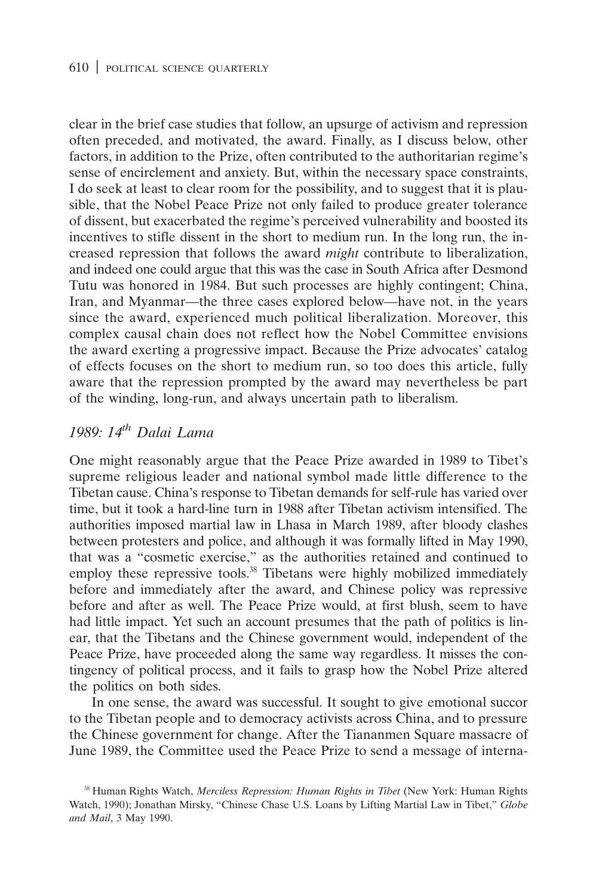clear in the brief case studies that follow, an upsurge of activism and repression often preceded, and motivated, the award. Finally, as I discuss below, other factors, in addition to the Prize, often contributed to the authoritarian regime's sense of encirclement and anxiety. But, within the necessary space constraints, I do seek at least to clear room for the possibility, and to suggest that it is plausible, that the Nobel Peace Prize not only failed to produce greater tolerance of dissent, but exacerbated the regime's perceived vulnerability and boosted its incentives to stifle dissent in the short to medium run. In the long run, the increased repression that follows the award might contribute to liberalization, and indeed one could argue that this was the case in South Africa after Desmond Tutu was honored in 1984. But such processes are highly contingent; China, Iran, and Myanmar—the three cases explored below—have not, in the years since the award, experienced much political liberalization. Moreover, this complex causal chain does not reflect how the Nobel Committee envisions the award exerting a progressive impact. Because the Prize advocates' catalog of effects focuses on the short to medium run, so too does this article, fully aware that the repression prompted by the award may nevertheless be part of the winding, long-run, and always uncertain path to liberalism.

# 1989: 14<sup>th</sup> Dalai Lama

One might reasonably argue that the Peace Prize awarded in 1989 to Tibet's supreme religious leader and national symbol made little difference to the Tibetan cause. China's response to Tibetan demands for self-rule has varied over time, but it took a hard-line turn in 1988 after Tibetan activism intensified. The authorities imposed martial law in Lhasa in March 1989, after bloody clashes between protesters and police, and although it was formally lifted in May 1990, that was a "cosmetic exercise," as the authorities retained and continued to employ these repressive tools.<sup>38</sup> Tibetans were highly mobilized immediately before and immediately after the award, and Chinese policy was repressive before and after as well. The Peace Prize would, at first blush, seem to have had little impact. Yet such an account presumes that the path of politics is linear, that the Tibetans and the Chinese government would, independent of the Peace Prize, have proceeded along the same way regardless. It misses the contingency of political process, and it fails to grasp how the Nobel Prize altered the politics on both sides.

In one sense, the award was successful. It sought to give emotional succor to the Tibetan people and to democracy activists across China, and to pressure the Chinese government for change. After the Tiananmen Square massacre of June 1989, the Committee used the Peace Prize to send a message of interna-

<sup>&</sup>lt;sup>38</sup> Human Rights Watch, *Merciless Repression: Human Rights in Tibet* (New York: Human Rights Watch, 1990); Jonathan Mirsky, "Chinese Chase U.S. Loans by Lifting Martial Law in Tibet," Globe and Mail, 3 May 1990.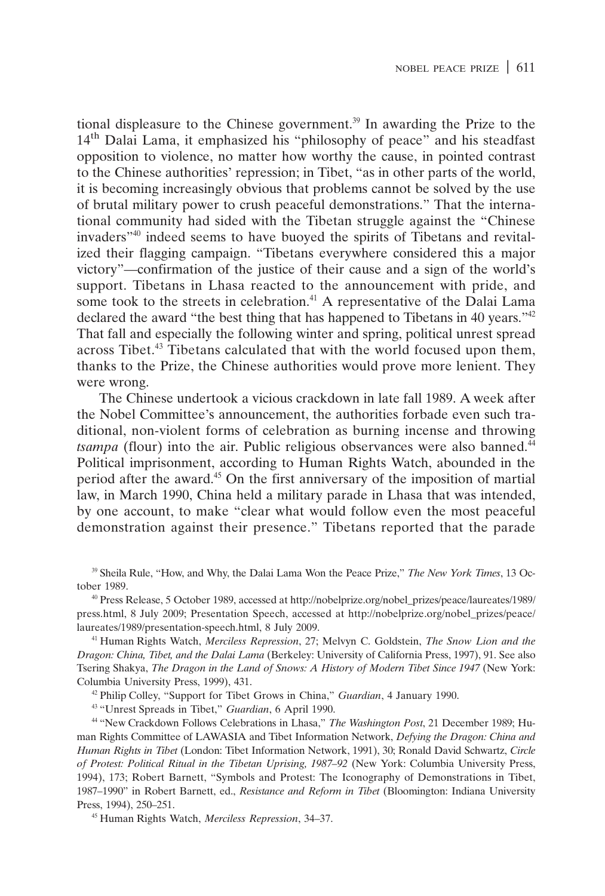tional displeasure to the Chinese government.<sup>39</sup> In awarding the Prize to the 14<sup>th</sup> Dalai Lama, it emphasized his "philosophy of peace" and his steadfast opposition to violence, no matter how worthy the cause, in pointed contrast to the Chinese authorities' repression; in Tibet, "as in other parts of the world, it is becoming increasingly obvious that problems cannot be solved by the use of brutal military power to crush peaceful demonstrations." That the international community had sided with the Tibetan struggle against the "Chinese invaders"<sup>40</sup> indeed seems to have buoyed the spirits of Tibetans and revitalized their flagging campaign. "Tibetans everywhere considered this a major victory"—confirmation of the justice of their cause and a sign of the world's support. Tibetans in Lhasa reacted to the announcement with pride, and some took to the streets in celebration.<sup>41</sup> A representative of the Dalai Lama declared the award "the best thing that has happened to Tibetans in 40 years."<sup>42</sup> That fall and especially the following winter and spring, political unrest spread across Tibet.<sup>43</sup> Tibetans calculated that with the world focused upon them, thanks to the Prize, the Chinese authorities would prove more lenient. They were wrong.

The Chinese undertook a vicious crackdown in late fall 1989. A week after the Nobel Committee's announcement, the authorities forbade even such traditional, non-violent forms of celebration as burning incense and throwing *tsampa* (flour) into the air. Public religious observances were also banned.<sup>44</sup> Political imprisonment, according to Human Rights Watch, abounded in the period after the award.<sup>45</sup> On the first anniversary of the imposition of martial law, in March 1990, China held a military parade in Lhasa that was intended, by one account, to make "clear what would follow even the most peaceful demonstration against their presence." Tibetans reported that the parade

<sup>39</sup> Sheila Rule, "How, and Why, the Dalai Lama Won the Peace Prize," The New York Times, 13 October 1989.

<sup>40</sup> Press Release, 5 October 1989, accessed at http://nobelprize.org/nobel\_prizes/peace/laureates/1989/ press.html, 8 July 2009; Presentation Speech, accessed at http://nobelprize.org/nobel\_prizes/peace/ laureates/1989/presentation-speech.html, 8 July 2009.

<sup>41</sup> Human Rights Watch, Merciless Repression, 27; Melvyn C. Goldstein, The Snow Lion and the Dragon: China, Tibet, and the Dalai Lama (Berkeley: University of California Press, 1997), 91. See also Tsering Shakya, The Dragon in the Land of Snows: A History of Modern Tibet Since 1947 (New York: Columbia University Press, 1999), 431.

<sup>42</sup> Philip Colley, "Support for Tibet Grows in China," Guardian, 4 January 1990.

<sup>43</sup> "Unrest Spreads in Tibet," Guardian, 6 April 1990.

<sup>44</sup> "New Crackdown Follows Celebrations in Lhasa," The Washington Post, 21 December 1989; Human Rights Committee of LAWASIA and Tibet Information Network, Defying the Dragon: China and Human Rights in Tibet (London: Tibet Information Network, 1991), 30; Ronald David Schwartz, Circle of Protest: Political Ritual in the Tibetan Uprising, 1987–92 (New York: Columbia University Press, 1994), 173; Robert Barnett, "Symbols and Protest: The Iconography of Demonstrations in Tibet, 1987–1990" in Robert Barnett, ed., Resistance and Reform in Tibet (Bloomington: Indiana University Press, 1994), 250–251.

<sup>45</sup> Human Rights Watch, Merciless Repression, 34-37.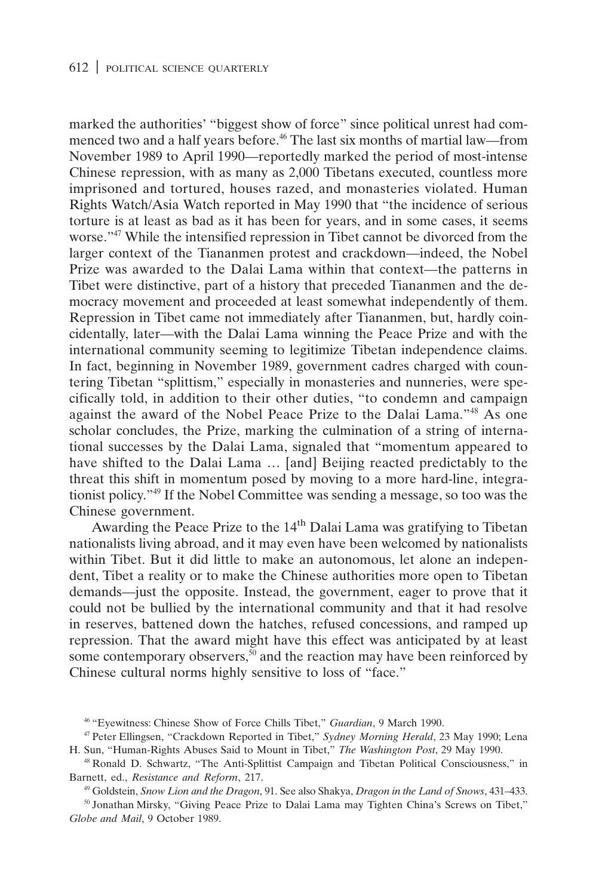marked the authorities' "biggest show of force" since political unrest had commenced two and a half years before.<sup>46</sup> The last six months of martial law—from November 1989 to April 1990—reportedly marked the period of most-intense Chinese repression, with as many as 2,000 Tibetans executed, countless more imprisoned and tortured, houses razed, and monasteries violated. Human Rights Watch/Asia Watch reported in May 1990 that "the incidence of serious torture is at least as bad as it has been for years, and in some cases, it seems worse."<sup>47</sup> While the intensified repression in Tibet cannot be divorced from the larger context of the Tiananmen protest and crackdown—indeed, the Nobel Prize was awarded to the Dalai Lama within that context—the patterns in Tibet were distinctive, part of a history that preceded Tiananmen and the democracy movement and proceeded at least somewhat independently of them. Repression in Tibet came not immediately after Tiananmen, but, hardly coincidentally, later—with the Dalai Lama winning the Peace Prize and with the international community seeming to legitimize Tibetan independence claims. In fact, beginning in November 1989, government cadres charged with countering Tibetan "splittism," especially in monasteries and nunneries, were specifically told, in addition to their other duties, "to condemn and campaign against the award of the Nobel Peace Prize to the Dalai Lama."<sup>48</sup> As one scholar concludes, the Prize, marking the culmination of a string of international successes by the Dalai Lama, signaled that "momentum appeared to have shifted to the Dalai Lama ... [and] Beijing reacted predictably to the threat this shift in momentum posed by moving to a more hard-line, integrationist policy."<sup>49</sup> If the Nobel Committee was sending a message, so too was the Chinese government.

Awarding the Peace Prize to the 14<sup>th</sup> Dalai Lama was gratifying to Tibetan nationalists living abroad, and it may even have been welcomed by nationalists within Tibet. But it did little to make an autonomous, let alone an independent, Tibet a reality or to make the Chinese authorities more open to Tibetan demands—just the opposite. Instead, the government, eager to prove that it could not be bullied by the international community and that it had resolve in reserves, battened down the hatches, refused concessions, and ramped up repression. That the award might have this effect was anticipated by at least some contemporary observers, $50$  and the reaction may have been reinforced by Chinese cultural norms highly sensitive to loss of "face."

 $49$  Goldstein, Snow Lion and the Dragon, 91. See also Shakya, Dragon in the Land of Snows, 431–433.

<sup>50</sup> Jonathan Mirsky, "Giving Peace Prize to Dalai Lama may Tighten China's Screws on Tibet," Globe and Mail, 9 October 1989.

<sup>&</sup>lt;sup>46</sup> "Eyewitness: Chinese Show of Force Chills Tibet," Guardian, 9 March 1990.

<sup>&</sup>lt;sup>47</sup> Peter Ellingsen, "Crackdown Reported in Tibet," Sydney Morning Herald, 23 May 1990; Lena H. Sun, "Human-Rights Abuses Said to Mount in Tibet," The Washington Post, 29 May 1990.

<sup>48</sup> Ronald D. Schwartz, "The Anti-Splittist Campaign and Tibetan Political Consciousness," in Barnett, ed., Resistance and Reform, 217.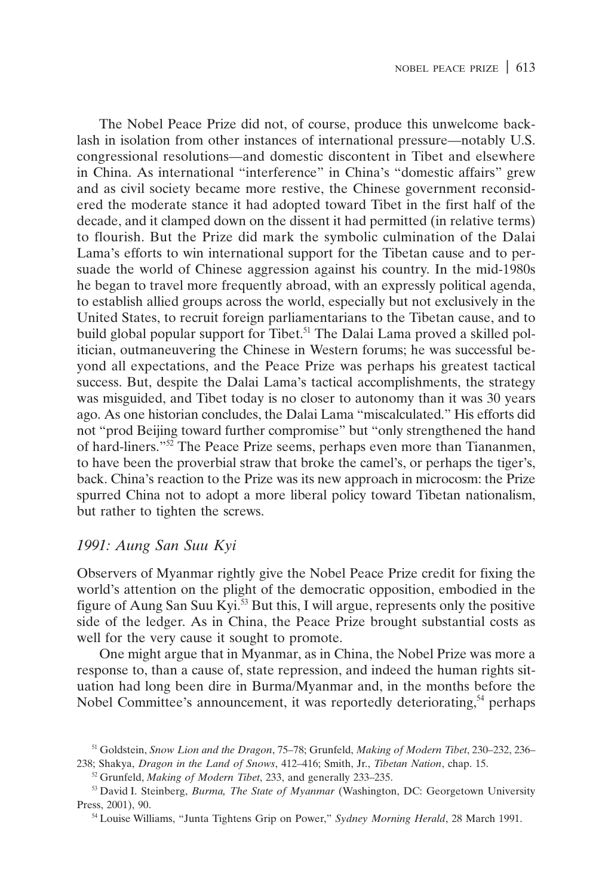The Nobel Peace Prize did not, of course, produce this unwelcome backlash in isolation from other instances of international pressure—notably U.S. congressional resolutions—and domestic discontent in Tibet and elsewhere in China. As international "interference" in China's "domestic affairs" grew and as civil society became more restive, the Chinese government reconsidered the moderate stance it had adopted toward Tibet in the first half of the decade, and it clamped down on the dissent it had permitted (in relative terms) to flourish. But the Prize did mark the symbolic culmination of the Dalai Lama's efforts to win international support for the Tibetan cause and to persuade the world of Chinese aggression against his country. In the mid-1980s he began to travel more frequently abroad, with an expressly political agenda, to establish allied groups across the world, especially but not exclusively in the United States, to recruit foreign parliamentarians to the Tibetan cause, and to build global popular support for Tibet.<sup>51</sup> The Dalai Lama proved a skilled politician, outmaneuvering the Chinese in Western forums; he was successful beyond all expectations, and the Peace Prize was perhaps his greatest tactical success. But, despite the Dalai Lama's tactical accomplishments, the strategy was misguided, and Tibet today is no closer to autonomy than it was 30 years ago. As one historian concludes, the Dalai Lama "miscalculated." His efforts did not "prod Beijing toward further compromise" but "only strengthened the hand of hard-liners."<sup>52</sup> The Peace Prize seems, perhaps even more than Tiananmen, to have been the proverbial straw that broke the camel's, or perhaps the tiger's, back. China's reaction to the Prize was its new approach in microcosm: the Prize spurred China not to adopt a more liberal policy toward Tibetan nationalism, but rather to tighten the screws.

#### 1991: Aung San Suu Kyi

Observers of Myanmar rightly give the Nobel Peace Prize credit for fixing the world's attention on the plight of the democratic opposition, embodied in the figure of Aung San Suu Kyi.<sup>53</sup> But this, I will argue, represents only the positive side of the ledger. As in China, the Peace Prize brought substantial costs as well for the very cause it sought to promote.

One might argue that in Myanmar, as in China, the Nobel Prize was more a response to, than a cause of, state repression, and indeed the human rights situation had long been dire in Burma/Myanmar and, in the months before the Nobel Committee's announcement, it was reportedly deteriorating,<sup>54</sup> perhaps

<sup>52</sup> Grunfeld, *Making of Modern Tibet*, 233, and generally 233-235.

<sup>51</sup> Goldstein, Snow Lion and the Dragon, 75–78; Grunfeld, Making of Modern Tibet, 230–232, 236– 238; Shakya, Dragon in the Land of Snows, 412–416; Smith, Jr., Tibetan Nation, chap. 15.

<sup>&</sup>lt;sup>53</sup> David I. Steinberg, *Burma, The State of Myanmar* (Washington, DC: Georgetown University Press, 2001), 90.

<sup>54</sup> Louise Williams, "Junta Tightens Grip on Power," Sydney Morning Herald, 28 March 1991.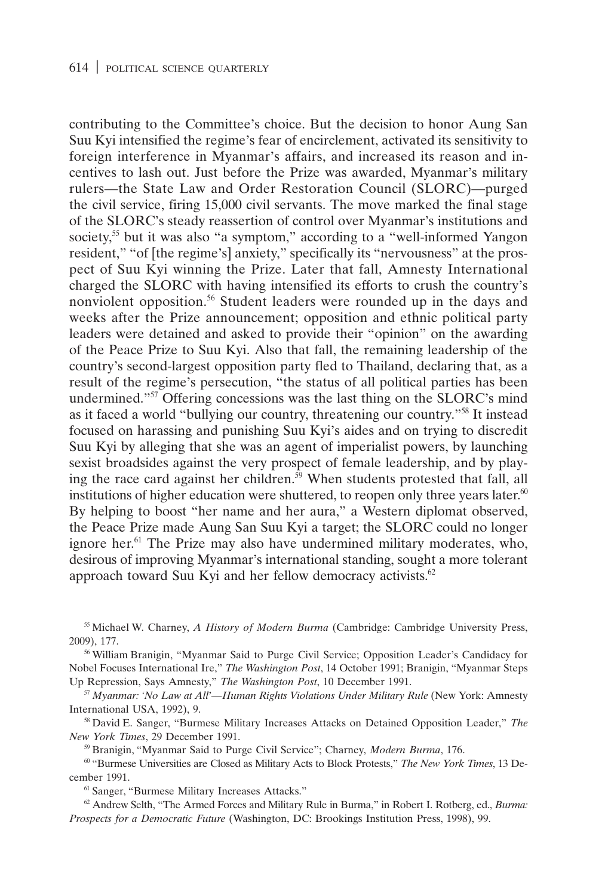contributing to the Committee's choice. But the decision to honor Aung San Suu Kyi intensified the regime's fear of encirclement, activated its sensitivity to foreign interference in Myanmar's affairs, and increased its reason and incentives to lash out. Just before the Prize was awarded, Myanmar's military rulers—the State Law and Order Restoration Council (SLORC)—purged the civil service, firing 15,000 civil servants. The move marked the final stage of the SLORC's steady reassertion of control over Myanmar's institutions and society,<sup>55</sup> but it was also "a symptom," according to a "well-informed Yangon resident," "of [the regime's] anxiety," specifically its "nervousness" at the prospect of Suu Kyi winning the Prize. Later that fall, Amnesty International charged the SLORC with having intensified its efforts to crush the country's nonviolent opposition.<sup>56</sup> Student leaders were rounded up in the days and weeks after the Prize announcement; opposition and ethnic political party leaders were detained and asked to provide their "opinion" on the awarding of the Peace Prize to Suu Kyi. Also that fall, the remaining leadership of the country's second-largest opposition party fled to Thailand, declaring that, as a result of the regime's persecution, "the status of all political parties has been undermined."<sup>57</sup> Offering concessions was the last thing on the SLORC's mind as it faced a world "bullying our country, threatening our country."<sup>58</sup> It instead focused on harassing and punishing Suu Kyi's aides and on trying to discredit Suu Kyi by alleging that she was an agent of imperialist powers, by launching sexist broadsides against the very prospect of female leadership, and by playing the race card against her children. $59$  When students protested that fall, all institutions of higher education were shuttered, to reopen only three years later. $60$ By helping to boost "her name and her aura," a Western diplomat observed, the Peace Prize made Aung San Suu Kyi a target; the SLORC could no longer ignore her.<sup>61</sup> The Prize may also have undermined military moderates, who, desirous of improving Myanmar's international standing, sought a more tolerant approach toward Suu Kyi and her fellow democracy activists. $62$ 

<sup>55</sup> Michael W. Charney, A History of Modern Burma (Cambridge: Cambridge University Press, 2009), 177.

<sup>56</sup> William Branigin, "Myanmar Said to Purge Civil Service; Opposition Leader's Candidacy for Nobel Focuses International Ire," The Washington Post, 14 October 1991; Branigin, "Myanmar Steps Up Repression, Says Amnesty," The Washington Post, 10 December 1991.

<sup>57</sup> Myanmar: 'No Law at All'—Human Rights Violations Under Military Rule (New York: Amnesty International USA, 1992), 9.

<sup>58</sup> David E. Sanger, "Burmese Military Increases Attacks on Detained Opposition Leader," The New York Times, 29 December 1991.

<sup>59</sup> Branigin, "Myanmar Said to Purge Civil Service"; Charney, Modern Burma, 176.

<sup>60</sup> "Burmese Universities are Closed as Military Acts to Block Protests," The New York Times, 13 December 1991.

<sup>61</sup> Sanger, "Burmese Military Increases Attacks."

 $62$  Andrew Selth, "The Armed Forces and Military Rule in Burma," in Robert I. Rotberg, ed., *Burma:* Prospects for a Democratic Future (Washington, DC: Brookings Institution Press, 1998), 99.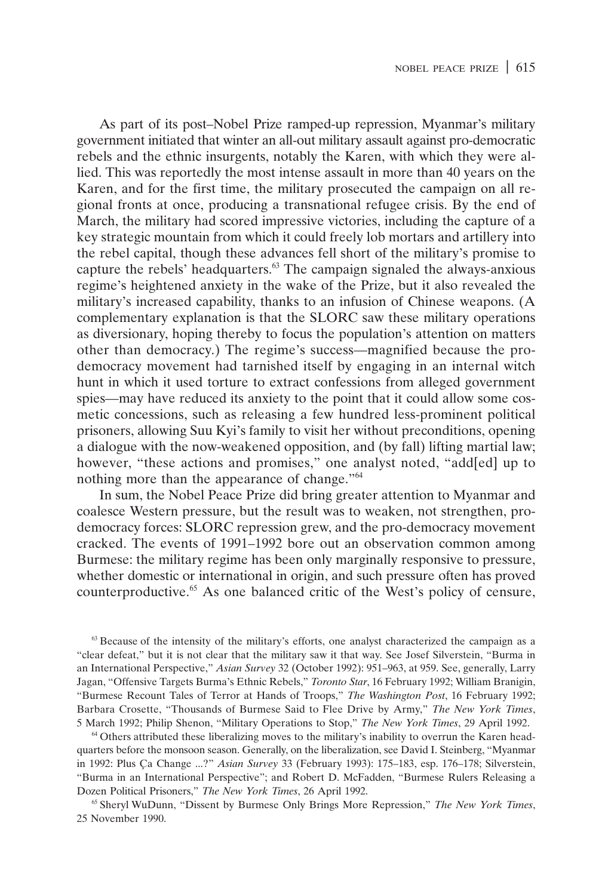As part of its post–Nobel Prize ramped-up repression, Myanmar's military government initiated that winter an all-out military assault against pro-democratic rebels and the ethnic insurgents, notably the Karen, with which they were allied. This was reportedly the most intense assault in more than 40 years on the Karen, and for the first time, the military prosecuted the campaign on all regional fronts at once, producing a transnational refugee crisis. By the end of March, the military had scored impressive victories, including the capture of a key strategic mountain from which it could freely lob mortars and artillery into the rebel capital, though these advances fell short of the military's promise to capture the rebels' headquarters.<sup>63</sup> The campaign signaled the always-anxious regime's heightened anxiety in the wake of the Prize, but it also revealed the military's increased capability, thanks to an infusion of Chinese weapons. (A complementary explanation is that the SLORC saw these military operations as diversionary, hoping thereby to focus the population's attention on matters other than democracy.) The regime's success—magnified because the prodemocracy movement had tarnished itself by engaging in an internal witch hunt in which it used torture to extract confessions from alleged government spies—may have reduced its anxiety to the point that it could allow some cosmetic concessions, such as releasing a few hundred less-prominent political prisoners, allowing Suu Kyi's family to visit her without preconditions, opening a dialogue with the now-weakened opposition, and (by fall) lifting martial law; however, "these actions and promises," one analyst noted, "add[ed] up to nothing more than the appearance of change."<sup>64</sup>

In sum, the Nobel Peace Prize did bring greater attention to Myanmar and coalesce Western pressure, but the result was to weaken, not strengthen, prodemocracy forces: SLORC repression grew, and the pro-democracy movement cracked. The events of 1991–1992 bore out an observation common among Burmese: the military regime has been only marginally responsive to pressure, whether domestic or international in origin, and such pressure often has proved counterproductive.<sup>65</sup> As one balanced critic of the West's policy of censure,

<sup>63</sup> Because of the intensity of the military's efforts, one analyst characterized the campaign as a "clear defeat," but it is not clear that the military saw it that way. See Josef Silverstein, "Burma in an International Perspective," Asian Survey 32 (October 1992): 951–963, at 959. See, generally, Larry Jagan, "Offensive Targets Burma's Ethnic Rebels," Toronto Star, 16 February 1992; William Branigin, "Burmese Recount Tales of Terror at Hands of Troops," The Washington Post, 16 February 1992; Barbara Crosette, "Thousands of Burmese Said to Flee Drive by Army," The New York Times, 5 March 1992; Philip Shenon, "Military Operations to Stop," The New York Times, 29 April 1992.

<sup>64</sup> Others attributed these liberalizing moves to the military's inability to overrun the Karen headquarters before the monsoon season. Generally, on the liberalization, see David I. Steinberg, "Myanmar in 1992: Plus Ça Change ...?" Asian Survey 33 (February 1993): 175–183, esp. 176–178; Silverstein, "Burma in an International Perspective"; and Robert D. McFadden, "Burmese Rulers Releasing a Dozen Political Prisoners," The New York Times, 26 April 1992.

<sup>65</sup> Sheryl WuDunn, "Dissent by Burmese Only Brings More Repression," The New York Times, 25 November 1990.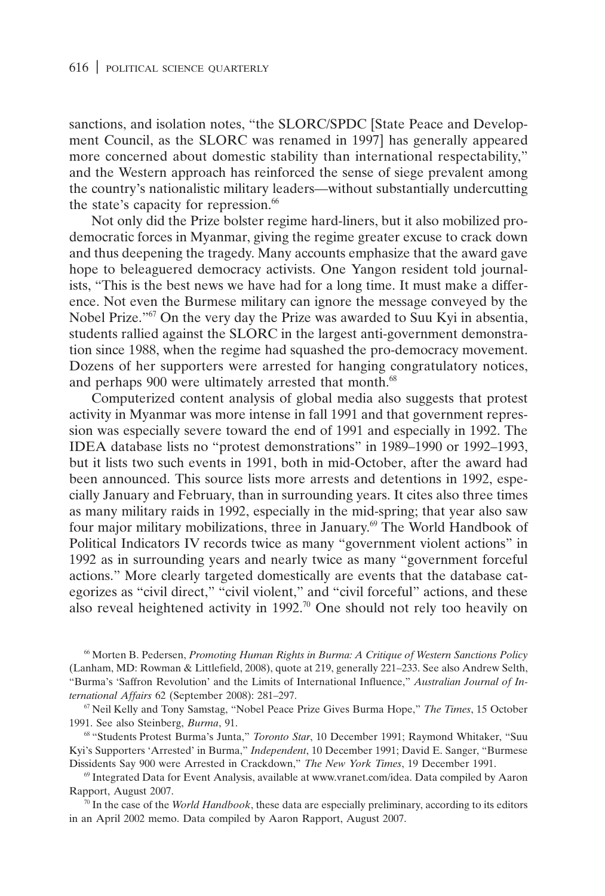sanctions, and isolation notes, "the SLORC/SPDC [State Peace and Development Council, as the SLORC was renamed in 1997] has generally appeared more concerned about domestic stability than international respectability," and the Western approach has reinforced the sense of siege prevalent among the country's nationalistic military leaders—without substantially undercutting the state's capacity for repression.<sup>66</sup>

Not only did the Prize bolster regime hard-liners, but it also mobilized prodemocratic forces in Myanmar, giving the regime greater excuse to crack down and thus deepening the tragedy. Many accounts emphasize that the award gave hope to beleaguered democracy activists. One Yangon resident told journalists, "This is the best news we have had for a long time. It must make a difference. Not even the Burmese military can ignore the message conveyed by the Nobel Prize."<sup>67</sup> On the very day the Prize was awarded to Suu Kyi in absentia, students rallied against the SLORC in the largest anti-government demonstration since 1988, when the regime had squashed the pro-democracy movement. Dozens of her supporters were arrested for hanging congratulatory notices, and perhaps 900 were ultimately arrested that month.<sup>68</sup>

Computerized content analysis of global media also suggests that protest activity in Myanmar was more intense in fall 1991 and that government repression was especially severe toward the end of 1991 and especially in 1992. The IDEA database lists no "protest demonstrations" in 1989–1990 or 1992–1993, but it lists two such events in 1991, both in mid-October, after the award had been announced. This source lists more arrests and detentions in 1992, especially January and February, than in surrounding years. It cites also three times as many military raids in 1992, especially in the mid-spring; that year also saw four major military mobilizations, three in January.69 The World Handbook of Political Indicators IV records twice as many "government violent actions" in 1992 as in surrounding years and nearly twice as many "government forceful actions." More clearly targeted domestically are events that the database categorizes as "civil direct," "civil violent," and "civil forceful" actions, and these also reveal heightened activity in 1992.<sup>70</sup> One should not rely too heavily on

<sup>66</sup> Morten B. Pedersen, Promoting Human Rights in Burma: A Critique of Western Sanctions Policy (Lanham, MD: Rowman & Littlefield, 2008), quote at 219, generally 221–233. See also Andrew Selth, "Burma's 'Saffron Revolution' and the Limits of International Influence," Australian Journal of International Affairs 62 (September 2008): 281–297.

<sup>67</sup> Neil Kelly and Tony Samstag, "Nobel Peace Prize Gives Burma Hope," The Times, 15 October 1991. See also Steinberg, Burma, 91.

<sup>68</sup> "Students Protest Burma's Junta," Toronto Star, 10 December 1991; Raymond Whitaker, "Suu Kyi's Supporters 'Arrested' in Burma," Independent, 10 December 1991; David E. Sanger, "Burmese Dissidents Say 900 were Arrested in Crackdown," The New York Times, 19 December 1991.

<sup>69</sup> Integrated Data for Event Analysis, available at www.vranet.com/idea. Data compiled by Aaron Rapport, August 2007.

 $\frac{70}{10}$  In the case of the *World Handbook*, these data are especially preliminary, according to its editors in an April 2002 memo. Data compiled by Aaron Rapport, August 2007.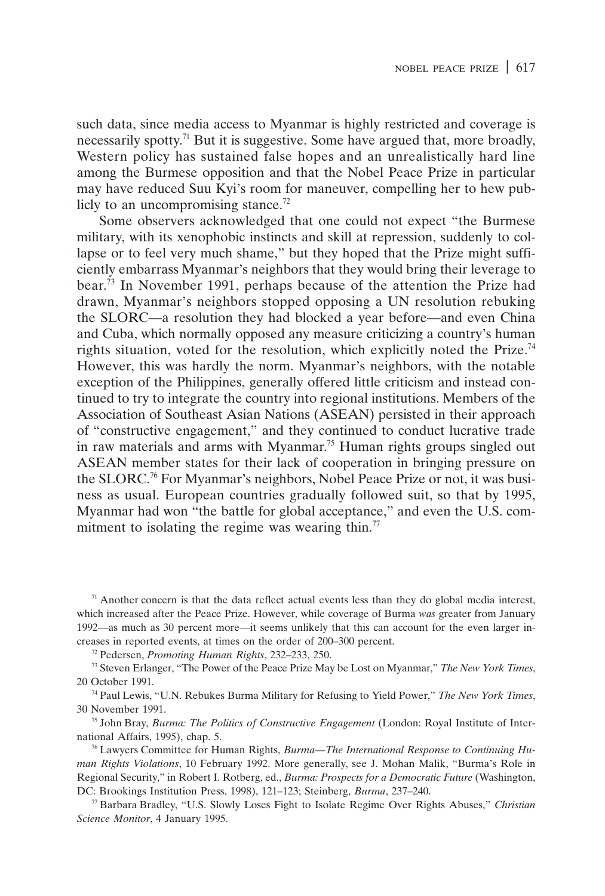such data, since media access to Myanmar is highly restricted and coverage is necessarily spotty.<sup>71</sup> But it is suggestive. Some have argued that, more broadly, Western policy has sustained false hopes and an unrealistically hard line among the Burmese opposition and that the Nobel Peace Prize in particular may have reduced Suu Kyi's room for maneuver, compelling her to hew publicly to an uncompromising stance.<sup>72</sup>

Some observers acknowledged that one could not expect "the Burmese military, with its xenophobic instincts and skill at repression, suddenly to collapse or to feel very much shame," but they hoped that the Prize might sufficiently embarrass Myanmar's neighbors that they would bring their leverage to bear.73 In November 1991, perhaps because of the attention the Prize had drawn, Myanmar's neighbors stopped opposing a UN resolution rebuking the SLORC—a resolution they had blocked a year before—and even China and Cuba, which normally opposed any measure criticizing a country's human rights situation, voted for the resolution, which explicitly noted the Prize.<sup>74</sup> However, this was hardly the norm. Myanmar's neighbors, with the notable exception of the Philippines, generally offered little criticism and instead continued to try to integrate the country into regional institutions. Members of the Association of Southeast Asian Nations (ASEAN) persisted in their approach of "constructive engagement," and they continued to conduct lucrative trade in raw materials and arms with Myanmar.<sup>75</sup> Human rights groups singled out ASEAN member states for their lack of cooperation in bringing pressure on the SLORC.76 For Myanmar's neighbors, Nobel Peace Prize or not, it was business as usual. European countries gradually followed suit, so that by 1995, Myanmar had won "the battle for global acceptance," and even the U.S. commitment to isolating the regime was wearing thin. $\frac{7}{7}$ 

 $71$  Another concern is that the data reflect actual events less than they do global media interest, which increased after the Peace Prize. However, while coverage of Burma was greater from January 1992—as much as 30 percent more—it seems unlikely that this can account for the even larger increases in reported events, at times on the order of 200–300 percent.

<sup>72</sup> Pedersen, Promoting Human Rights, 232–233, 250.

 $73$  Steven Erlanger, "The Power of the Peace Prize May be Lost on Myanmar," The New York Times, 20 October 1991.

 $74$  Paul Lewis, "U.N. Rebukes Burma Military for Refusing to Yield Power," The New York Times, 30 November 1991.

 $75$  John Bray, Burma: The Politics of Constructive Engagement (London: Royal Institute of International Affairs, 1995), chap. 5.

 $76$  Lawyers Committee for Human Rights, Burma—The International Response to Continuing Human Rights Violations, 10 February 1992. More generally, see J. Mohan Malik, "Burma's Role in Regional Security," in Robert I. Rotberg, ed., Burma: Prospects for a Democratic Future (Washington, DC: Brookings Institution Press, 1998), 121–123; Steinberg, Burma, 237–240.

<sup>77</sup> Barbara Bradley, "U.S. Slowly Loses Fight to Isolate Regime Over Rights Abuses," Christian Science Monitor, 4 January 1995.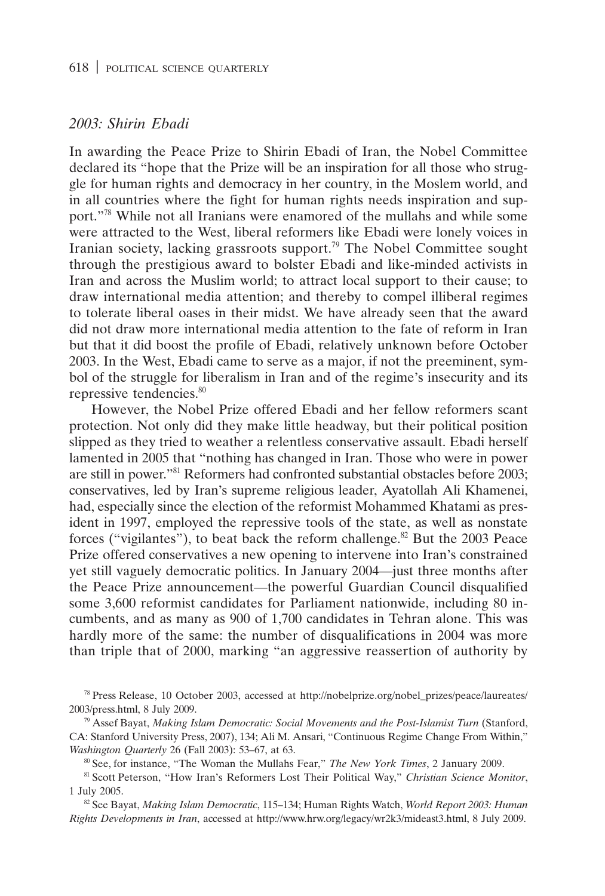#### 2003: Shirin Ebadi

In awarding the Peace Prize to Shirin Ebadi of Iran, the Nobel Committee declared its "hope that the Prize will be an inspiration for all those who struggle for human rights and democracy in her country, in the Moslem world, and in all countries where the fight for human rights needs inspiration and support."<sup>78</sup> While not all Iranians were enamored of the mullahs and while some were attracted to the West, liberal reformers like Ebadi were lonely voices in Iranian society, lacking grassroots support.<sup>79</sup> The Nobel Committee sought through the prestigious award to bolster Ebadi and like-minded activists in Iran and across the Muslim world; to attract local support to their cause; to draw international media attention; and thereby to compel illiberal regimes to tolerate liberal oases in their midst. We have already seen that the award did not draw more international media attention to the fate of reform in Iran but that it did boost the profile of Ebadi, relatively unknown before October 2003. In the West, Ebadi came to serve as a major, if not the preeminent, symbol of the struggle for liberalism in Iran and of the regime's insecurity and its repressive tendencies.<sup>80</sup>

However, the Nobel Prize offered Ebadi and her fellow reformers scant protection. Not only did they make little headway, but their political position slipped as they tried to weather a relentless conservative assault. Ebadi herself lamented in 2005 that "nothing has changed in Iran. Those who were in power are still in power."<sup>81</sup> Reformers had confronted substantial obstacles before 2003; conservatives, led by Iran's supreme religious leader, Ayatollah Ali Khamenei, had, especially since the election of the reformist Mohammed Khatami as president in 1997, employed the repressive tools of the state, as well as nonstate forces ("vigilantes"), to beat back the reform challenge. $82$  But the 2003 Peace Prize offered conservatives a new opening to intervene into Iran's constrained yet still vaguely democratic politics. In January 2004—just three months after the Peace Prize announcement—the powerful Guardian Council disqualified some 3,600 reformist candidates for Parliament nationwide, including 80 incumbents, and as many as 900 of 1,700 candidates in Tehran alone. This was hardly more of the same: the number of disqualifications in 2004 was more than triple that of 2000, marking "an aggressive reassertion of authority by

 $82$  See Bayat, Making Islam Democratic, 115–134; Human Rights Watch, World Report 2003: Human Rights Developments in Iran, accessed at http://www.hrw.org/legacy/wr2k3/mideast3.html, 8 July 2009.

<sup>78</sup> Press Release, 10 October 2003, accessed at http://nobelprize.org/nobel\_prizes/peace/laureates/ 2003/press.html, 8 July 2009.

 $79$  Assef Bayat, Making Islam Democratic: Social Movements and the Post-Islamist Turn (Stanford, CA: Stanford University Press, 2007), 134; Ali M. Ansari, "Continuous Regime Change From Within," Washington Quarterly 26 (Fall 2003): 53–67, at 63.

 $80$  See, for instance, "The Woman the Mullahs Fear," The New York Times, 2 January 2009.

<sup>&</sup>lt;sup>81</sup> Scott Peterson, "How Iran's Reformers Lost Their Political Way," Christian Science Monitor, 1 July 2005.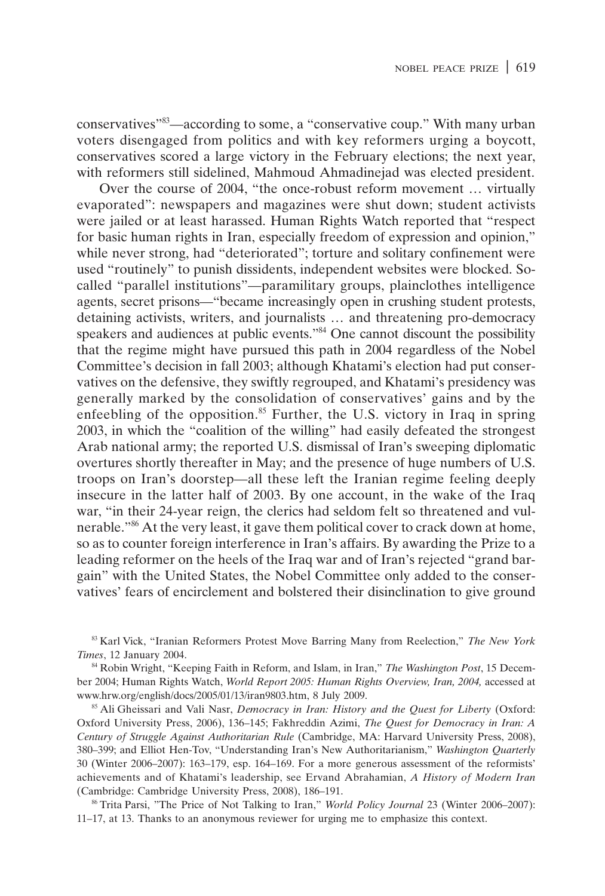conservatives"<sup>83</sup>—according to some, a "conservative coup." With many urban voters disengaged from politics and with key reformers urging a boycott, conservatives scored a large victory in the February elections; the next year, with reformers still sidelined, Mahmoud Ahmadinejad was elected president.

Over the course of 2004, "the once-robust reform movement … virtually evaporated": newspapers and magazines were shut down; student activists were jailed or at least harassed. Human Rights Watch reported that "respect for basic human rights in Iran, especially freedom of expression and opinion," while never strong, had "deteriorated"; torture and solitary confinement were used "routinely" to punish dissidents, independent websites were blocked. Socalled "parallel institutions"—paramilitary groups, plainclothes intelligence agents, secret prisons—"became increasingly open in crushing student protests, detaining activists, writers, and journalists … and threatening pro-democracy speakers and audiences at public events."<sup>84</sup> One cannot discount the possibility that the regime might have pursued this path in 2004 regardless of the Nobel Committee's decision in fall 2003; although Khatami's election had put conservatives on the defensive, they swiftly regrouped, and Khatami's presidency was generally marked by the consolidation of conservatives' gains and by the enfeebling of the opposition.<sup>85</sup> Further, the U.S. victory in Iraq in spring 2003, in which the "coalition of the willing" had easily defeated the strongest Arab national army; the reported U.S. dismissal of Iran's sweeping diplomatic overtures shortly thereafter in May; and the presence of huge numbers of U.S. troops on Iran's doorstep—all these left the Iranian regime feeling deeply insecure in the latter half of 2003. By one account, in the wake of the Iraq war, "in their 24-year reign, the clerics had seldom felt so threatened and vulnerable."<sup>86</sup> At the very least, it gave them political cover to crack down at home, so as to counter foreign interference in Iran's affairs. By awarding the Prize to a leading reformer on the heels of the Iraq war and of Iran's rejected "grand bargain" with the United States, the Nobel Committee only added to the conservatives' fears of encirclement and bolstered their disinclination to give ground

<sup>83</sup> Karl Vick, "Iranian Reformers Protest Move Barring Many from Reelection," The New York Times, 12 January 2004.

<sup>84</sup> Robin Wright, "Keeping Faith in Reform, and Islam, in Iran," The Washington Post, 15 December 2004; Human Rights Watch, World Report 2005: Human Rights Overview, Iran, 2004, accessed at www.hrw.org/english/docs/2005/01/13/iran9803.htm, 8 July 2009.

<sup>85</sup> Ali Gheissari and Vali Nasr, Democracy in Iran: History and the Quest for Liberty (Oxford: Oxford University Press, 2006), 136–145; Fakhreddin Azimi, The Quest for Democracy in Iran: A Century of Struggle Against Authoritarian Rule (Cambridge, MA: Harvard University Press, 2008), 380–399; and Elliot Hen-Tov, "Understanding Iran's New Authoritarianism," Washington Quarterly 30 (Winter 2006–2007): 163–179, esp. 164–169. For a more generous assessment of the reformists' achievements and of Khatami's leadership, see Ervand Abrahamian, A History of Modern Iran (Cambridge: Cambridge University Press, 2008), 186–191.

<sup>86</sup> Trita Parsi, "The Price of Not Talking to Iran," World Policy Journal 23 (Winter 2006–2007): 11–17, at 13. Thanks to an anonymous reviewer for urging me to emphasize this context.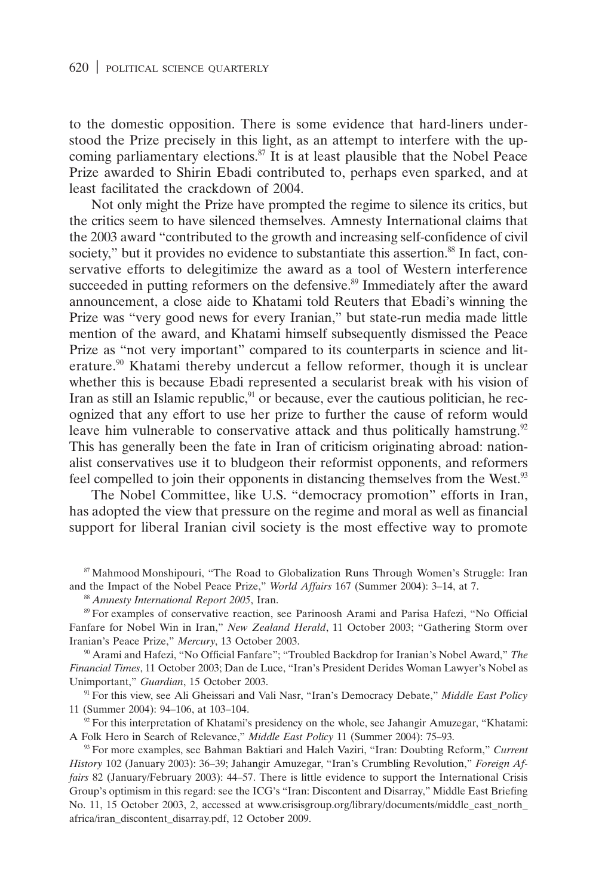to the domestic opposition. There is some evidence that hard-liners understood the Prize precisely in this light, as an attempt to interfere with the upcoming parliamentary elections.<sup>87</sup> It is at least plausible that the Nobel Peace Prize awarded to Shirin Ebadi contributed to, perhaps even sparked, and at least facilitated the crackdown of 2004.

Not only might the Prize have prompted the regime to silence its critics, but the critics seem to have silenced themselves. Amnesty International claims that the 2003 award "contributed to the growth and increasing self-confidence of civil society," but it provides no evidence to substantiate this assertion.<sup>88</sup> In fact, conservative efforts to delegitimize the award as a tool of Western interference succeeded in putting reformers on the defensive.<sup>89</sup> Immediately after the award announcement, a close aide to Khatami told Reuters that Ebadi's winning the Prize was "very good news for every Iranian," but state-run media made little mention of the award, and Khatami himself subsequently dismissed the Peace Prize as "not very important" compared to its counterparts in science and literature.<sup>90</sup> Khatami thereby undercut a fellow reformer, though it is unclear whether this is because Ebadi represented a secularist break with his vision of Iran as still an Islamic republic,<sup>91</sup> or because, ever the cautious politician, he recognized that any effort to use her prize to further the cause of reform would leave him vulnerable to conservative attack and thus politically hamstrung.<sup>92</sup> This has generally been the fate in Iran of criticism originating abroad: nationalist conservatives use it to bludgeon their reformist opponents, and reformers feel compelled to join their opponents in distancing themselves from the West.<sup>93</sup>

The Nobel Committee, like U.S. "democracy promotion" efforts in Iran, has adopted the view that pressure on the regime and moral as well as financial support for liberal Iranian civil society is the most effective way to promote

<sup>87</sup> Mahmood Monshipouri, "The Road to Globalization Runs Through Women's Struggle: Iran and the Impact of the Nobel Peace Prize," World Affairs 167 (Summer 2004): 3–14, at 7.

88 Amnesty International Report 2005, Iran.

<sup>89</sup> For examples of conservative reaction, see Parinoosh Arami and Parisa Hafezi, "No Official Fanfare for Nobel Win in Iran," New Zealand Herald, 11 October 2003; "Gathering Storm over Iranian's Peace Prize," Mercury, 13 October 2003.

 $90$  Arami and Hafezi, "No Official Fanfare"; "Troubled Backdrop for Iranian's Nobel Award," The Financial Times, 11 October 2003; Dan de Luce, "Iran's President Derides Woman Lawyer's Nobel as Unimportant," Guardian, 15 October 2003.

 $91$  For this view, see Ali Gheissari and Vali Nasr, "Iran's Democracy Debate," *Middle East Policy* 11 (Summer 2004): 94–106, at 103–104.

 $92$  For this interpretation of Khatami's presidency on the whole, see Jahangir Amuzegar, "Khatami: A Folk Hero in Search of Relevance," Middle East Policy 11 (Summer 2004): 75–93.

 $93$  For more examples, see Bahman Baktiari and Haleh Vaziri, "Iran: Doubting Reform," Current History 102 (January 2003): 36-39; Jahangir Amuzegar, "Iran's Crumbling Revolution," Foreign Affairs 82 (January/February 2003): 44–57. There is little evidence to support the International Crisis Group's optimism in this regard: see the ICG's "Iran: Discontent and Disarray," Middle East Briefing No. 11, 15 October 2003, 2, accessed at www.crisisgroup.org/library/documents/middle\_east\_north\_ africa/iran\_discontent\_disarray.pdf, 12 October 2009.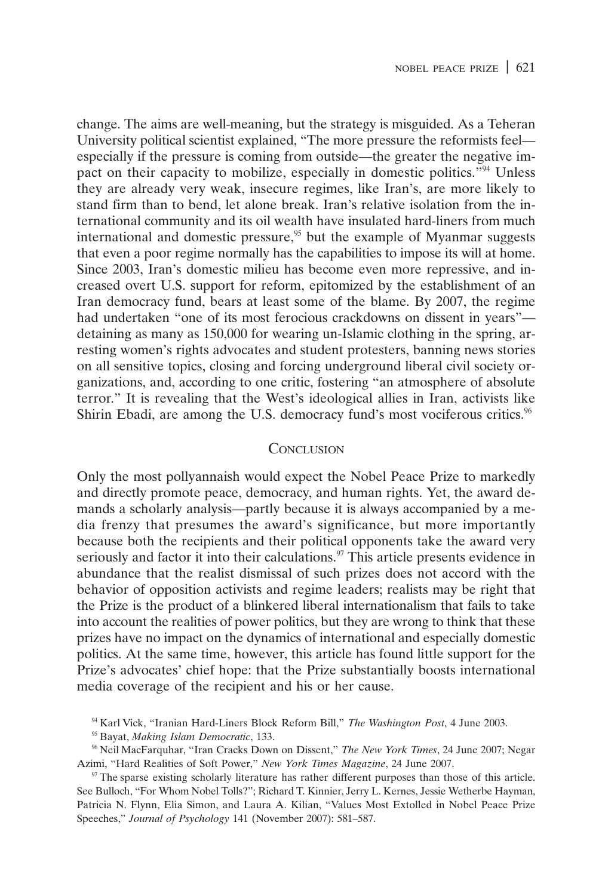change. The aims are well-meaning, but the strategy is misguided. As a Teheran University political scientist explained, "The more pressure the reformists feel especially if the pressure is coming from outside—the greater the negative impact on their capacity to mobilize, especially in domestic politics."<sup>94</sup> Unless they are already very weak, insecure regimes, like Iran's, are more likely to stand firm than to bend, let alone break. Iran's relative isolation from the international community and its oil wealth have insulated hard-liners from much international and domestic pressure, $95$  but the example of Myanmar suggests that even a poor regime normally has the capabilities to impose its will at home. Since 2003, Iran's domestic milieu has become even more repressive, and increased overt U.S. support for reform, epitomized by the establishment of an Iran democracy fund, bears at least some of the blame. By 2007, the regime had undertaken "one of its most ferocious crackdowns on dissent in years" detaining as many as 150,000 for wearing un-Islamic clothing in the spring, arresting women's rights advocates and student protesters, banning news stories on all sensitive topics, closing and forcing underground liberal civil society organizations, and, according to one critic, fostering "an atmosphere of absolute terror." It is revealing that the West's ideological allies in Iran, activists like Shirin Ebadi, are among the U.S. democracy fund's most vociferous critics.<sup>96</sup>

#### **CONCLUSION**

Only the most pollyannaish would expect the Nobel Peace Prize to markedly and directly promote peace, democracy, and human rights. Yet, the award demands a scholarly analysis—partly because it is always accompanied by a media frenzy that presumes the award's significance, but more importantly because both the recipients and their political opponents take the award very seriously and factor it into their calculations.<sup>97</sup> This article presents evidence in abundance that the realist dismissal of such prizes does not accord with the behavior of opposition activists and regime leaders; realists may be right that the Prize is the product of a blinkered liberal internationalism that fails to take into account the realities of power politics, but they are wrong to think that these prizes have no impact on the dynamics of international and especially domestic politics. At the same time, however, this article has found little support for the Prize's advocates' chief hope: that the Prize substantially boosts international media coverage of the recipient and his or her cause.

 $94$  Karl Vick, "Iranian Hard-Liners Block Reform Bill," The Washington Post, 4 June 2003.

<sup>96</sup> Neil MacFarquhar, "Iran Cracks Down on Dissent," The New York Times, 24 June 2007; Negar Azimi, "Hard Realities of Soft Power," New York Times Magazine, 24 June 2007.

 $97$  The sparse existing scholarly literature has rather different purposes than those of this article. See Bulloch, "For Whom Nobel Tolls?"; Richard T. Kinnier, Jerry L. Kernes, Jessie Wetherbe Hayman, Patricia N. Flynn, Elia Simon, and Laura A. Kilian, "Values Most Extolled in Nobel Peace Prize Speeches," Journal of Psychology 141 (November 2007): 581–587.

<sup>&</sup>lt;sup>95</sup> Bayat, Making Islam Democratic, 133.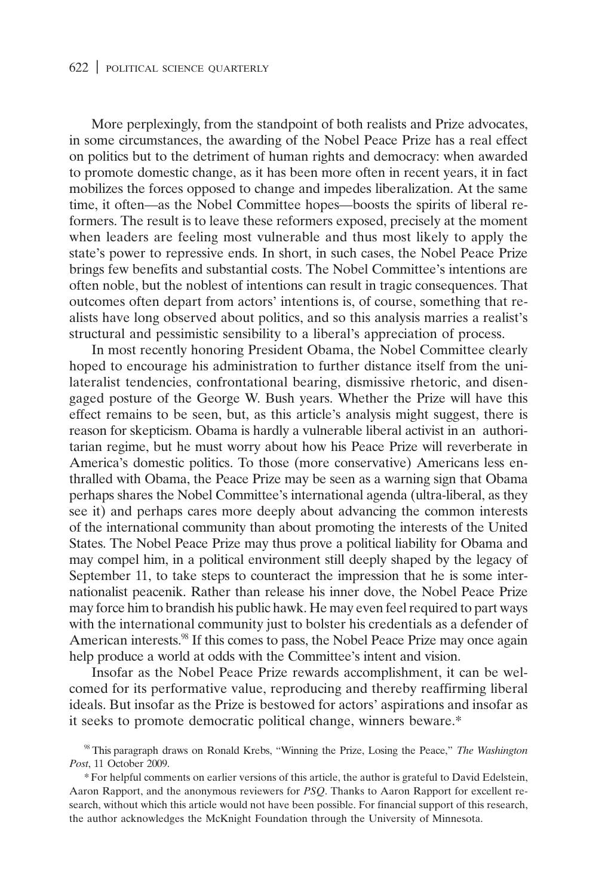More perplexingly, from the standpoint of both realists and Prize advocates, in some circumstances, the awarding of the Nobel Peace Prize has a real effect on politics but to the detriment of human rights and democracy: when awarded to promote domestic change, as it has been more often in recent years, it in fact mobilizes the forces opposed to change and impedes liberalization. At the same time, it often—as the Nobel Committee hopes—boosts the spirits of liberal reformers. The result is to leave these reformers exposed, precisely at the moment when leaders are feeling most vulnerable and thus most likely to apply the state's power to repressive ends. In short, in such cases, the Nobel Peace Prize brings few benefits and substantial costs. The Nobel Committee's intentions are often noble, but the noblest of intentions can result in tragic consequences. That outcomes often depart from actors' intentions is, of course, something that realists have long observed about politics, and so this analysis marries a realist's structural and pessimistic sensibility to a liberal's appreciation of process.

In most recently honoring President Obama, the Nobel Committee clearly hoped to encourage his administration to further distance itself from the unilateralist tendencies, confrontational bearing, dismissive rhetoric, and disengaged posture of the George W. Bush years. Whether the Prize will have this effect remains to be seen, but, as this article's analysis might suggest, there is reason for skepticism. Obama is hardly a vulnerable liberal activist in an authoritarian regime, but he must worry about how his Peace Prize will reverberate in America's domestic politics. To those (more conservative) Americans less enthralled with Obama, the Peace Prize may be seen as a warning sign that Obama perhaps shares the Nobel Committee's international agenda (ultra-liberal, as they see it) and perhaps cares more deeply about advancing the common interests of the international community than about promoting the interests of the United States. The Nobel Peace Prize may thus prove a political liability for Obama and may compel him, in a political environment still deeply shaped by the legacy of September 11, to take steps to counteract the impression that he is some internationalist peacenik. Rather than release his inner dove, the Nobel Peace Prize may force him to brandish his public hawk. He may even feel required to part ways with the international community just to bolster his credentials as a defender of American interests.<sup>98</sup> If this comes to pass, the Nobel Peace Prize may once again help produce a world at odds with the Committee's intent and vision.

Insofar as the Nobel Peace Prize rewards accomplishment, it can be welcomed for its performative value, reproducing and thereby reaffirming liberal ideals. But insofar as the Prize is bestowed for actors' aspirations and insofar as it seeks to promote democratic political change, winners beware.\*

<sup>98</sup> This paragraph draws on Ronald Krebs, "Winning the Prize, Losing the Peace," The Washington Post, 11 October 2009.

\* For helpful comments on earlier versions of this article, the author is grateful to David Edelstein, Aaron Rapport, and the anonymous reviewers for PSQ. Thanks to Aaron Rapport for excellent research, without which this article would not have been possible. For financial support of this research, the author acknowledges the McKnight Foundation through the University of Minnesota.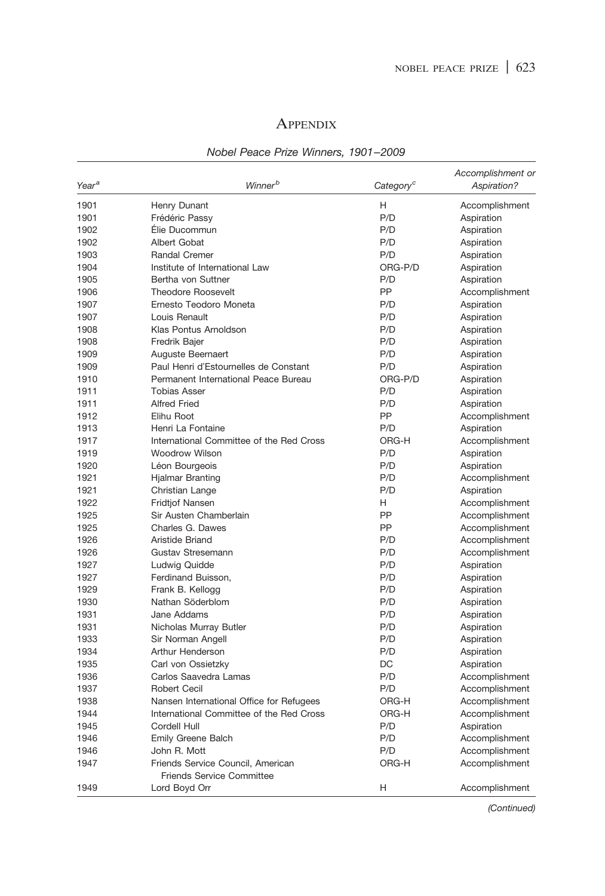## APPENDIX

### Nobel Peace Prize Winners, 1901–2009

| Year <sup>a</sup> | Winner <sup>b</sup>                                                   | Category <sup>c</sup> | Accomplishment or<br>Aspiration? |
|-------------------|-----------------------------------------------------------------------|-----------------------|----------------------------------|
| 1901              | Henry Dunant                                                          | H                     | Accomplishment                   |
| 1901              | Frédéric Passy                                                        | P/D                   | Aspiration                       |
| 1902              | Élie Ducommun                                                         | P/D                   | Aspiration                       |
| 1902              | Albert Gobat                                                          | P/D                   | Aspiration                       |
| 1903              | <b>Randal Cremer</b>                                                  | P/D                   | Aspiration                       |
| 1904              | Institute of International Law                                        | ORG-P/D               | Aspiration                       |
| 1905              | Bertha von Suttner                                                    | P/D                   | Aspiration                       |
| 1906              | <b>Theodore Roosevelt</b>                                             | PP                    | Accomplishment                   |
| 1907              | Ernesto Teodoro Moneta                                                | P/D                   | Aspiration                       |
| 1907              | Louis Renault                                                         | P/D                   | Aspiration                       |
| 1908              | Klas Pontus Arnoldson                                                 | P/D                   | Aspiration                       |
| 1908              | <b>Fredrik Baier</b>                                                  | P/D                   | Aspiration                       |
| 1909              | Auguste Beernaert                                                     | P/D                   | Aspiration                       |
| 1909              | Paul Henri d'Estournelles de Constant                                 | P/D                   | Aspiration                       |
| 1910              | Permanent International Peace Bureau                                  | ORG-P/D               | Aspiration                       |
| 1911              | <b>Tobias Asser</b>                                                   | P/D                   | Aspiration                       |
| 1911              | <b>Alfred Fried</b>                                                   | P/D                   | Aspiration                       |
| 1912              | Elihu Root                                                            | <b>PP</b>             | Accomplishment                   |
| 1913              | Henri La Fontaine                                                     | P/D                   | Aspiration                       |
| 1917              | International Committee of the Red Cross                              | ORG-H                 | Accomplishment                   |
| 1919              | <b>Woodrow Wilson</b>                                                 | P/D                   | Aspiration                       |
| 1920              | Léon Bourgeois                                                        | P/D                   | Aspiration                       |
| 1921              | <b>Hjalmar Branting</b>                                               | P/D                   | Accomplishment                   |
| 1921              | Christian Lange                                                       | P/D                   | Aspiration                       |
| 1922              | <b>Fridtjof Nansen</b>                                                | н                     | Accomplishment                   |
| 1925              | Sir Austen Chamberlain                                                | PP                    | Accomplishment                   |
| 1925              | Charles G. Dawes                                                      | <b>PP</b>             | Accomplishment                   |
| 1926              | Aristide Briand                                                       | P/D                   | Accomplishment                   |
| 1926              | Gustav Stresemann                                                     | P/D                   | Accomplishment                   |
| 1927              | Ludwig Quidde                                                         | P/D                   | Aspiration                       |
| 1927              | Ferdinand Buisson,                                                    | P/D                   | Aspiration                       |
| 1929              | Frank B. Kellogg                                                      | P/D                   | Aspiration                       |
| 1930              | Nathan Söderblom                                                      | P/D                   | Aspiration                       |
| 1931              | Jane Addams                                                           | P/D                   | Aspiration                       |
| 1931              | Nicholas Murray Butler                                                | P/D                   | Aspiration                       |
| 1933              | Sir Norman Angell                                                     | P/D                   | Aspiration                       |
| 1934              | Arthur Henderson                                                      | P/D                   | Aspiration                       |
| 1935              | Carl von Ossietzky                                                    | DC                    | Aspiration                       |
| 1936              | Carlos Saavedra Lamas                                                 | P/D                   | Accomplishment                   |
| 1937              | <b>Robert Cecil</b>                                                   | P/D                   | Accomplishment                   |
| 1938              | Nansen International Office for Refugees                              | ORG-H                 | Accomplishment                   |
| 1944              | International Committee of the Red Cross                              | ORG-H                 | Accomplishment                   |
| 1945              | Cordell Hull                                                          | P/D                   | Aspiration                       |
| 1946              | Emily Greene Balch                                                    | P/D                   | Accomplishment                   |
| 1946              | John R. Mott                                                          | P/D                   | Accomplishment                   |
| 1947              | Friends Service Council, American<br><b>Friends Service Committee</b> | ORG-H                 | Accomplishment                   |
| 1949              | Lord Boyd Orr                                                         | H                     | Accomplishment                   |

(Continued)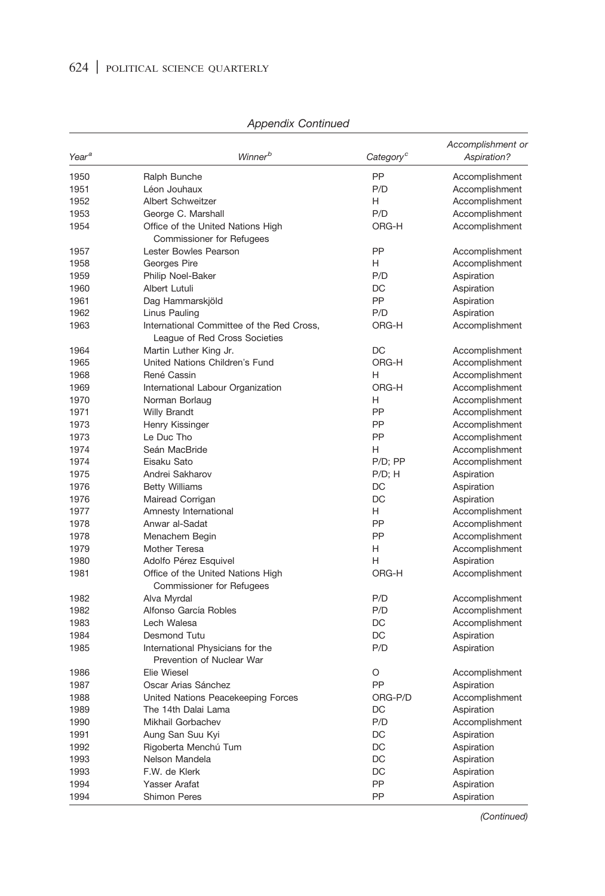| Year <sup>a</sup> | Winner <sup>b</sup>                                                        | Category <sup>c</sup> | Accomplishment or<br><b>Aspiration?</b> |
|-------------------|----------------------------------------------------------------------------|-----------------------|-----------------------------------------|
| 1950              | Ralph Bunche                                                               | <b>PP</b>             | Accomplishment                          |
| 1951              | Léon Jouhaux                                                               | P/D                   | Accomplishment                          |
| 1952              | <b>Albert Schweitzer</b>                                                   | H                     | Accomplishment                          |
| 1953              | George C. Marshall                                                         | P/D                   | Accomplishment                          |
| 1954              | Office of the United Nations High<br><b>Commissioner for Refugees</b>      | ORG-H                 | Accomplishment                          |
| 1957              | Lester Bowles Pearson                                                      | PP                    | Accomplishment                          |
| 1958              | Georges Pire                                                               | H                     | Accomplishment                          |
| 1959              | Philip Noel-Baker                                                          | P/D                   | Aspiration                              |
| 1960              | Albert Lutuli                                                              | DC                    | Aspiration                              |
| 1961              | Dag Hammarskjöld                                                           | <b>PP</b>             | Aspiration                              |
| 1962              | Linus Pauling                                                              | P/D                   | Aspiration                              |
| 1963              | International Committee of the Red Cross,<br>League of Red Cross Societies | ORG-H                 | Accomplishment                          |
| 1964              | Martin Luther King Jr.                                                     | DC                    | Accomplishment                          |
| 1965              | United Nations Children's Fund                                             | ORG-H                 | Accomplishment                          |
| 1968              | René Cassin                                                                | H                     | Accomplishment                          |
| 1969              | International Labour Organization                                          | ORG-H                 | Accomplishment                          |
| 1970              | Norman Borlaug                                                             | H                     | Accomplishment                          |
| 1971              | <b>Willy Brandt</b>                                                        | PP                    | Accomplishment                          |
| 1973              | Henry Kissinger                                                            | <b>PP</b>             | Accomplishment                          |
| 1973              | Le Duc Tho                                                                 | PP                    | Accomplishment                          |
| 1974              | Seán MacBride                                                              | H                     | Accomplishment                          |
| 1974              | Eisaku Sato                                                                | $P/D$ ; $PP$          | Accomplishment                          |
| 1975              | Andrei Sakharov                                                            | $P/D$ ; H             | Aspiration                              |
| 1976              | <b>Betty Williams</b>                                                      | DC                    | Aspiration                              |
| 1976              | Mairead Corrigan                                                           | DC                    | Aspiration                              |
| 1977              | Amnesty International                                                      | H.                    | Accomplishment                          |
| 1978              | Anwar al-Sadat                                                             | <b>PP</b>             | Accomplishment                          |
| 1978              | Menachem Begin                                                             | PP                    | Accomplishment                          |
| 1979              | <b>Mother Teresa</b>                                                       | H                     | Accomplishment                          |
| 1980              | Adolfo Pérez Esquivel                                                      | H                     | Aspiration                              |
| 1981              | Office of the United Nations High<br>Commissioner for Refugees             | ORG-H                 | Accomplishment                          |
| 1982              | Alva Myrdal                                                                | P/D                   | Accomplishment                          |
| 1982              | Alfonso García Robles                                                      | P/D                   | Accomplishment                          |
| 1983              | Lech Walesa                                                                | DC                    | Accomplishment                          |
| 1984              | Desmond Tutu                                                               | DC                    | Aspiration                              |
| 1985              | International Physicians for the<br>Prevention of Nuclear War              | P/D                   | Aspiration                              |
| 1986              | Elie Wiesel                                                                | O                     | Accomplishment                          |
| 1987              | Oscar Arias Sánchez                                                        | PP                    | Aspiration                              |
| 1988              | United Nations Peacekeeping Forces                                         | ORG-P/D               | Accomplishment                          |
| 1989              | The 14th Dalai Lama                                                        | DC                    | Aspiration                              |
| 1990              | Mikhail Gorbachev                                                          | P/D                   | Accomplishment                          |
| 1991              | Aung San Suu Kyi                                                           | DC                    | Aspiration                              |
| 1992              | Rigoberta Menchú Tum                                                       | DC                    | Aspiration                              |
| 1993              | Nelson Mandela                                                             | DC                    | Aspiration                              |
| 1993              | F.W. de Klerk                                                              | DC                    | Aspiration                              |
| 1994              | Yasser Arafat                                                              | PP.                   | Aspiration                              |
| 1994              | <b>Shimon Peres</b>                                                        | PP                    | Aspiration                              |

#### Appendix Continued

(Continued)